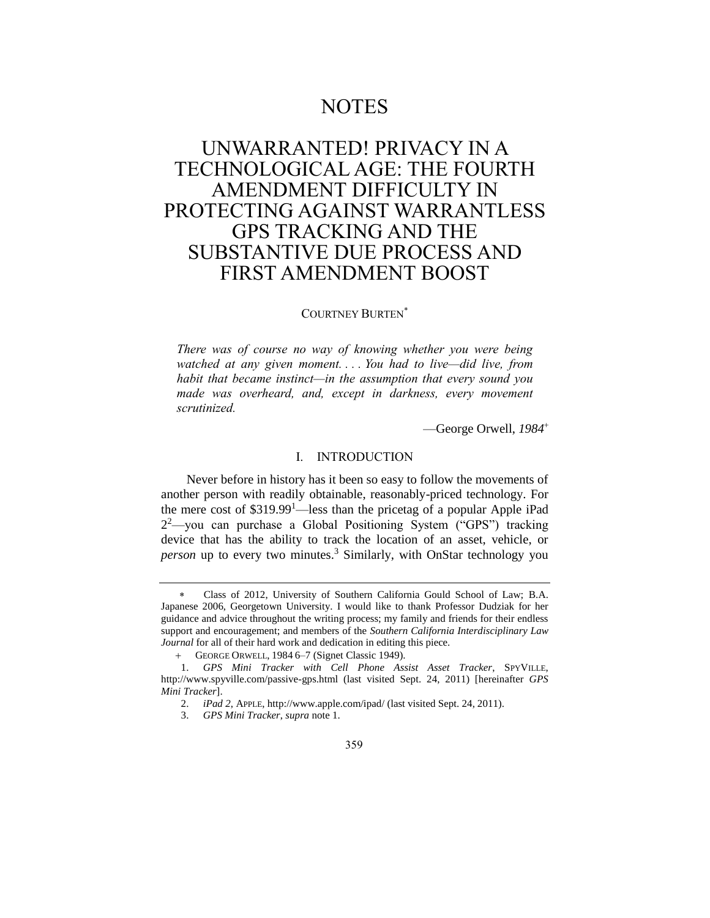# **NOTES**

# UNWARRANTED! PRIVACY IN A TECHNOLOGICAL AGE: THE FOURTH AMENDMENT DIFFICULTY IN PROTECTING AGAINST WARRANTLESS GPS TRACKING AND THE SUBSTANTIVE DUE PROCESS AND FIRST AMENDMENT BOOST

## COURTNEY BURTEN

*There was of course no way of knowing whether you were being watched at any given moment. . . . You had to live—did live, from habit that became instinct—in the assumption that every sound you made was overheard, and, except in darkness, every movement scrutinized.*

—George Orwell, *1984*

### <span id="page-0-0"></span>I. INTRODUCTION

Never before in history has it been so easy to follow the movements of another person with readily obtainable, reasonably-priced technology. For the mere cost of  $$319.99<sup>1</sup>$  less than the pricetag of a popular Apple iPad 2 <sup>2</sup>—you can purchase a Global Positioning System ("GPS") tracking device that has the ability to track the location of an asset, vehicle, or *person* up to every two minutes.<sup>3</sup> Similarly, with OnStar technology you

 Class of 2012, University of Southern California Gould School of Law; B.A. Japanese 2006, Georgetown University. I would like to thank Professor Dudziak for her guidance and advice throughout the writing process; my family and friends for their endless support and encouragement; and members of the *Southern California Interdisciplinary Law Journal* for all of their hard work and dedication in editing this piece.

 GEORGE ORWELL, 1984 6–7 (Signet Classic 1949).

<sup>1.</sup> *GPS Mini Tracker with Cell Phone Assist Asset Tracker*, SPYVILLE, http://www.spyville.com/passive-gps.html (last visited Sept. 24, 2011) [hereinafter *GPS Mini Tracker*].

<sup>2.</sup> *iPad 2*, APPLE, http://www.apple.com/ipad/ (last visited Sept. 24, 2011).

<sup>3.</sup> *GPS Mini Tracker*, *supra* not[e 1.](#page-0-0)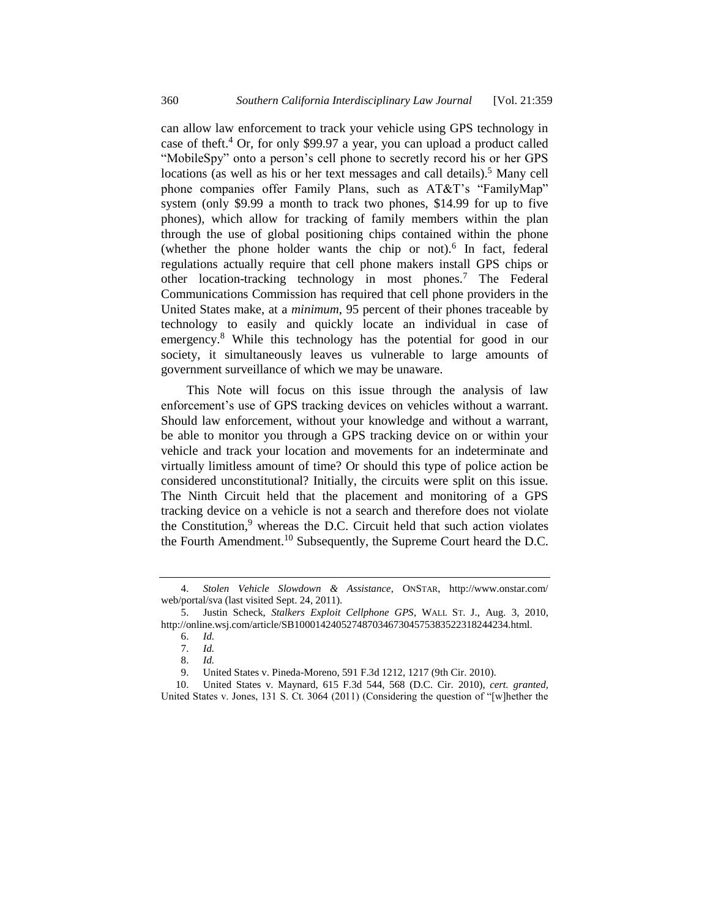can allow law enforcement to track your vehicle using GPS technology in case of theft.<sup>4</sup> Or, for only \$99.97 a year, you can upload a product called "MobileSpy" onto a person's cell phone to secretly record his or her GPS locations (as well as his or her text messages and call details).<sup>5</sup> Many cell phone companies offer Family Plans, such as AT&T's "FamilyMap" system (only \$9.99 a month to track two phones, \$14.99 for up to five phones), which allow for tracking of family members within the plan through the use of global positioning chips contained within the phone (whether the phone holder wants the chip or not).<sup>6</sup> In fact, federal regulations actually require that cell phone makers install GPS chips or other location-tracking technology in most phones.<sup>7</sup> The Federal Communications Commission has required that cell phone providers in the United States make, at a *minimum*, 95 percent of their phones traceable by technology to easily and quickly locate an individual in case of emergency.<sup>8</sup> While this technology has the potential for good in our society, it simultaneously leaves us vulnerable to large amounts of government surveillance of which we may be unaware.

This Note will focus on this issue through the analysis of law enforcement's use of GPS tracking devices on vehicles without a warrant. Should law enforcement, without your knowledge and without a warrant, be able to monitor you through a GPS tracking device on or within your vehicle and track your location and movements for an indeterminate and virtually limitless amount of time? Or should this type of police action be considered unconstitutional? Initially, the circuits were split on this issue. The Ninth Circuit held that the placement and monitoring of a GPS tracking device on a vehicle is not a search and therefore does not violate the Constitution, $9$  whereas the D.C. Circuit held that such action violates the Fourth Amendment.<sup>10</sup> Subsequently, the Supreme Court heard the D.C.

<sup>4.</sup> *Stolen Vehicle Slowdown & Assistance*, ONSTAR, http://www.onstar.com/ web/portal/sva (last visited Sept. 24, 2011).

<sup>5.</sup> Justin Scheck, *Stalkers Exploit Cellphone GPS*, WALL ST. J., Aug. 3, 2010, http://online.wsj.com/article/SB10001424052748703467304575383522318244234.html.

<sup>6.</sup> *Id.*

<sup>7.</sup> *Id.*

<sup>8.</sup> *Id.*

<sup>9.</sup> United States v. Pineda-Moreno, 591 F.3d 1212, 1217 (9th Cir. 2010).<br>10. United States v. Maynard, 615 F.3d 544, 568 (D.C. Cir. 2010). ce

<sup>10.</sup> United States v. Maynard, 615 F.3d 544, 568 (D.C. Cir. 2010), *cert. granted,*  United States v. Jones, 131 S. Ct. 3064 (2011) (Considering the question of "[w]hether the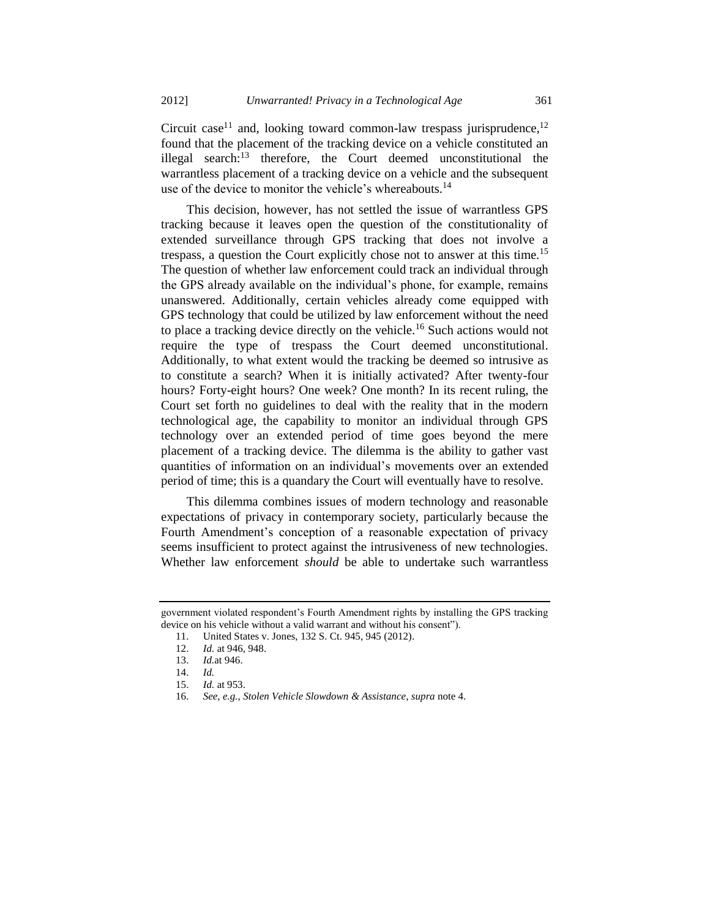Circuit case<sup>11</sup> and, looking toward common-law trespass jurisprudence,<sup>12</sup> found that the placement of the tracking device on a vehicle constituted an illegal search:<sup>13</sup> therefore, the Court deemed unconstitutional the warrantless placement of a tracking device on a vehicle and the subsequent use of the device to monitor the vehicle's whereabouts. $^{14}$ 

This decision, however, has not settled the issue of warrantless GPS tracking because it leaves open the question of the constitutionality of extended surveillance through GPS tracking that does not involve a trespass, a question the Court explicitly chose not to answer at this time.<sup>15</sup> The question of whether law enforcement could track an individual through the GPS already available on the individual's phone, for example, remains unanswered. Additionally, certain vehicles already come equipped with GPS technology that could be utilized by law enforcement without the need to place a tracking device directly on the vehicle.<sup>16</sup> Such actions would not require the type of trespass the Court deemed unconstitutional. Additionally, to what extent would the tracking be deemed so intrusive as to constitute a search? When it is initially activated? After twenty-four hours? Forty-eight hours? One week? One month? In its recent ruling, the Court set forth no guidelines to deal with the reality that in the modern technological age, the capability to monitor an individual through GPS technology over an extended period of time goes beyond the mere placement of a tracking device. The dilemma is the ability to gather vast quantities of information on an individual's movements over an extended period of time; this is a quandary the Court will eventually have to resolve.

This dilemma combines issues of modern technology and reasonable expectations of privacy in contemporary society, particularly because the Fourth Amendment's conception of a reasonable expectation of privacy seems insufficient to protect against the intrusiveness of new technologies. Whether law enforcement *should* be able to undertake such warrantless

government violated respondent's Fourth Amendment rights by installing the GPS tracking device on his vehicle without a valid warrant and without his consent").

<sup>11.</sup> United States v. Jones, 132 S. Ct. 945, 945 (2012).

<sup>12.</sup> *Id.* at 946, 948.

<sup>13.</sup> *Id.*at 946.

<sup>14.</sup> *Id. Id.* at 953.

<sup>16.</sup> *See, e.g.*, *Stolen Vehicle Slowdown & Assistance*, *supra* note 4.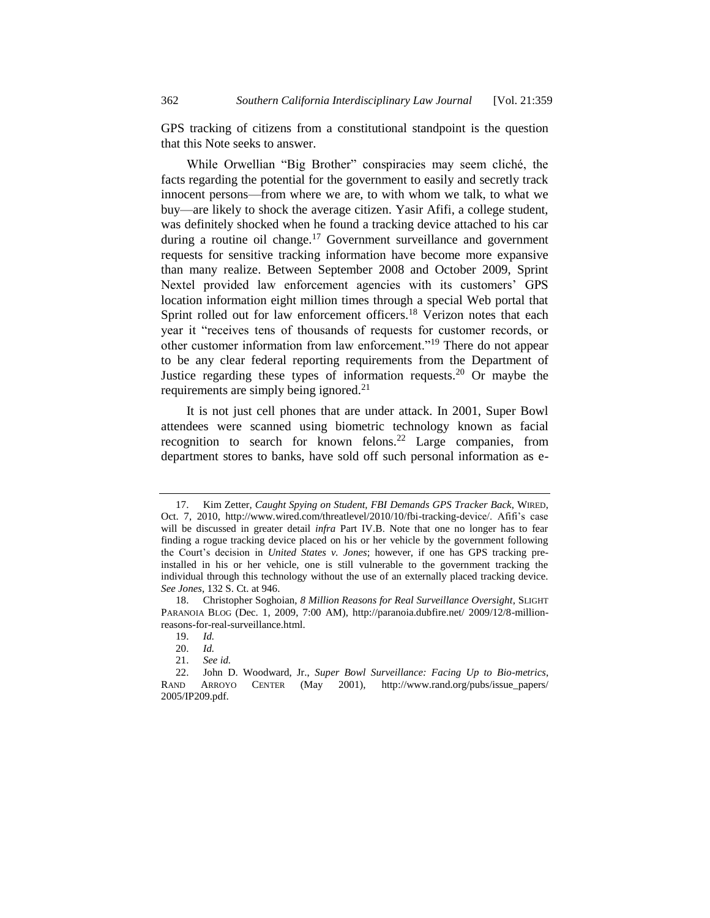GPS tracking of citizens from a constitutional standpoint is the question that this Note seeks to answer.

While Orwellian "Big Brother" conspiracies may seem cliché, the facts regarding the potential for the government to easily and secretly track innocent persons—from where we are, to with whom we talk, to what we buy—are likely to shock the average citizen. Yasir Afifi, a college student, was definitely shocked when he found a tracking device attached to his car during a routine oil change.<sup>17</sup> Government surveillance and government requests for sensitive tracking information have become more expansive than many realize. Between September 2008 and October 2009, Sprint Nextel provided law enforcement agencies with its customers' GPS location information eight million times through a special Web portal that Sprint rolled out for law enforcement officers.<sup>18</sup> Verizon notes that each year it "receives tens of thousands of requests for customer records, or other customer information from law enforcement."<sup>19</sup> There do not appear to be any clear federal reporting requirements from the Department of Justice regarding these types of information requests.<sup>20</sup> Or maybe the requirements are simply being ignored.<sup>21</sup>

<span id="page-3-0"></span>It is not just cell phones that are under attack. In 2001, Super Bowl attendees were scanned using biometric technology known as facial recognition to search for known felons.<sup>22</sup> Large companies, from department stores to banks, have sold off such personal information as e-

<sup>17.</sup> Kim Zetter, *Caught Spying on Student, FBI Demands GPS Tracker Back*, WIRED, Oct. 7, 2010, http://www.wired.com/threatlevel/2010/10/fbi-tracking-device/. Afifi's case will be discussed in greater detail *infra* Part IV.B. Note that one no longer has to fear finding a rogue tracking device placed on his or her vehicle by the government following the Court's decision in *United States v. Jones*; however, if one has GPS tracking preinstalled in his or her vehicle, one is still vulnerable to the government tracking the individual through this technology without the use of an externally placed tracking device. *See Jones*, 132 S. Ct. at 946.

<sup>18.</sup> Christopher Soghoian, *8 Million Reasons for Real Surveillance Oversight*, SLIGHT PARANOIA BLOG (Dec. 1, 2009, 7:00 AM), http://paranoia.dubfire.net/ 2009/12/8-millionreasons-for-real-surveillance.html.

<sup>19.</sup> *Id.*

<sup>20.</sup> *Id.*

<sup>21.</sup> *See id.*

<sup>22.</sup> John D. Woodward, Jr., *Super Bowl Surveillance: Facing Up to Bio-metrics*, RAND ARROYO CENTER (May 2001), http://www.rand.org/pubs/issue\_papers/ 2005/IP209.pdf.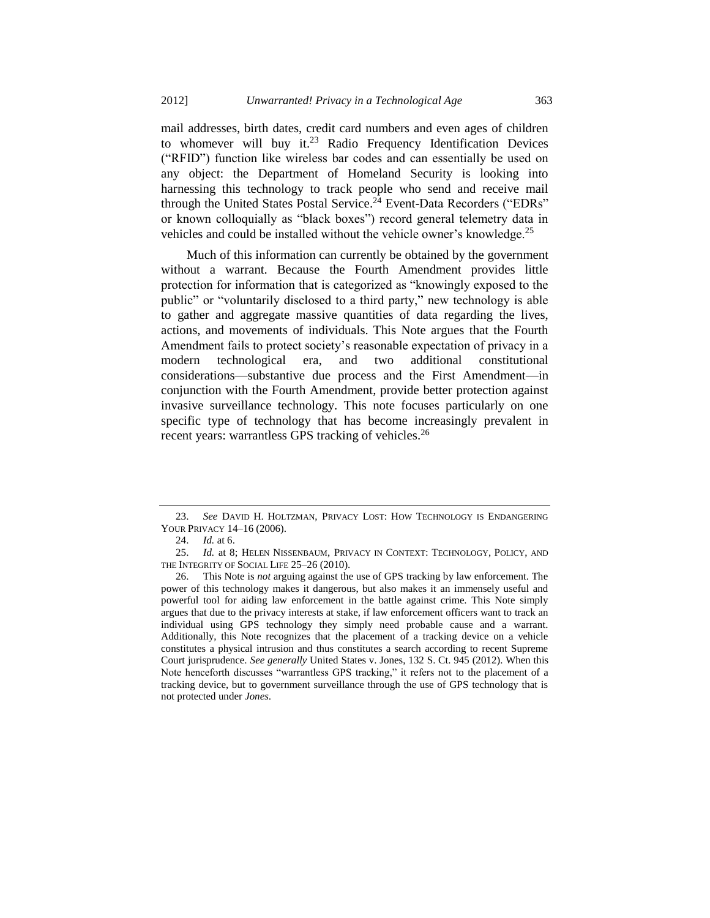<span id="page-4-0"></span>mail addresses, birth dates, credit card numbers and even ages of children to whomever will buy it.<sup>23</sup> Radio Frequency Identification Devices ("RFID") function like wireless bar codes and can essentially be used on any object: the Department of Homeland Security is looking into harnessing this technology to track people who send and receive mail through the United States Postal Service.<sup>24</sup> Event-Data Recorders ("EDRs" or known colloquially as "black boxes") record general telemetry data in vehicles and could be installed without the vehicle owner's knowledge.<sup>25</sup>

<span id="page-4-1"></span>Much of this information can currently be obtained by the government without a warrant. Because the Fourth Amendment provides little protection for information that is categorized as "knowingly exposed to the public" or "voluntarily disclosed to a third party," new technology is able to gather and aggregate massive quantities of data regarding the lives, actions, and movements of individuals. This Note argues that the Fourth Amendment fails to protect society's reasonable expectation of privacy in a modern technological era, and two additional constitutional considerations—substantive due process and the First Amendment—in conjunction with the Fourth Amendment, provide better protection against invasive surveillance technology. This note focuses particularly on one specific type of technology that has become increasingly prevalent in recent years: warrantless GPS tracking of vehicles.<sup>26</sup>

<sup>23.</sup> *See* DAVID H. HOLTZMAN, PRIVACY LOST: HOW TECHNOLOGY IS ENDANGERING YOUR PRIVACY 14–16 (2006).

<sup>24.</sup> *Id.* at 6.

<sup>25.</sup> *Id.* at 8; HELEN NISSENBAUM, PRIVACY IN CONTEXT: TECHNOLOGY, POLICY, AND THE INTEGRITY OF SOCIAL LIFE 25-26 (2010).

<sup>26.</sup> This Note is *not* arguing against the use of GPS tracking by law enforcement. The power of this technology makes it dangerous, but also makes it an immensely useful and powerful tool for aiding law enforcement in the battle against crime. This Note simply argues that due to the privacy interests at stake, if law enforcement officers want to track an individual using GPS technology they simply need probable cause and a warrant. Additionally, this Note recognizes that the placement of a tracking device on a vehicle constitutes a physical intrusion and thus constitutes a search according to recent Supreme Court jurisprudence. *See generally* United States v. Jones, 132 S. Ct. 945 (2012). When this Note henceforth discusses "warrantless GPS tracking," it refers not to the placement of a tracking device, but to government surveillance through the use of GPS technology that is not protected under *Jones*.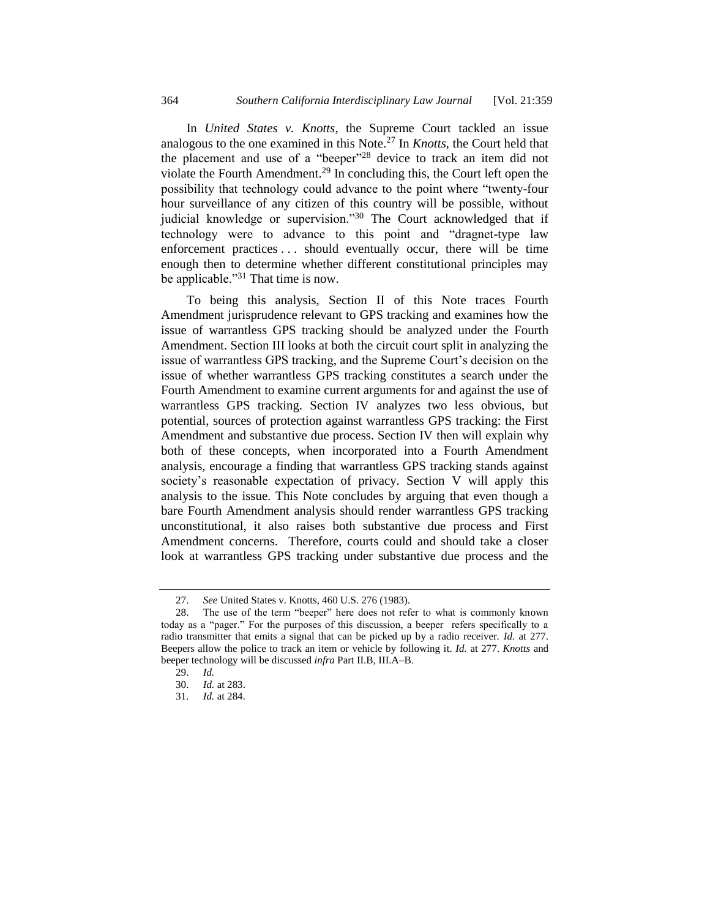In *United States v. Knotts*, the Supreme Court tackled an issue analogous to the one examined in this Note.<sup>27</sup> In *Knotts*, the Court held that the placement and use of a "beeper"<sup>28</sup> device to track an item did not violate the Fourth Amendment.<sup>29</sup> In concluding this, the Court left open the possibility that technology could advance to the point where "twenty-four hour surveillance of any citizen of this country will be possible, without judicial knowledge or supervision."30 The Court acknowledged that if technology were to advance to this point and "dragnet-type law enforcement practices . . . should eventually occur, there will be time enough then to determine whether different constitutional principles may be applicable."<sup>31</sup> That time is now.

To being this analysis, Section II of this Note traces Fourth Amendment jurisprudence relevant to GPS tracking and examines how the issue of warrantless GPS tracking should be analyzed under the Fourth Amendment. Section III looks at both the circuit court split in analyzing the issue of warrantless GPS tracking, and the Supreme Court's decision on the issue of whether warrantless GPS tracking constitutes a search under the Fourth Amendment to examine current arguments for and against the use of warrantless GPS tracking. Section IV analyzes two less obvious, but potential, sources of protection against warrantless GPS tracking: the First Amendment and substantive due process. Section IV then will explain why both of these concepts, when incorporated into a Fourth Amendment analysis, encourage a finding that warrantless GPS tracking stands against society's reasonable expectation of privacy. Section V will apply this analysis to the issue. This Note concludes by arguing that even though a bare Fourth Amendment analysis should render warrantless GPS tracking unconstitutional, it also raises both substantive due process and First Amendment concerns. Therefore, courts could and should take a closer look at warrantless GPS tracking under substantive due process and the

<sup>27.</sup> *See* United States v. Knotts, 460 U.S. 276 (1983).

<sup>28.</sup> The use of the term "beeper" here does not refer to what is commonly known today as a "pager." For the purposes of this discussion, a beeper refers specifically to a radio transmitter that emits a signal that can be picked up by a radio receiver. *Id.* at 277. Beepers allow the police to track an item or vehicle by following it. *Id.* at 277. *Knotts* and beeper technology will be discussed *infra* Part II.B, III.A–B.

<sup>29.</sup> *Id.* 

<sup>30.</sup> *Id.* at 283.

<sup>31.</sup> *Id.* at 284.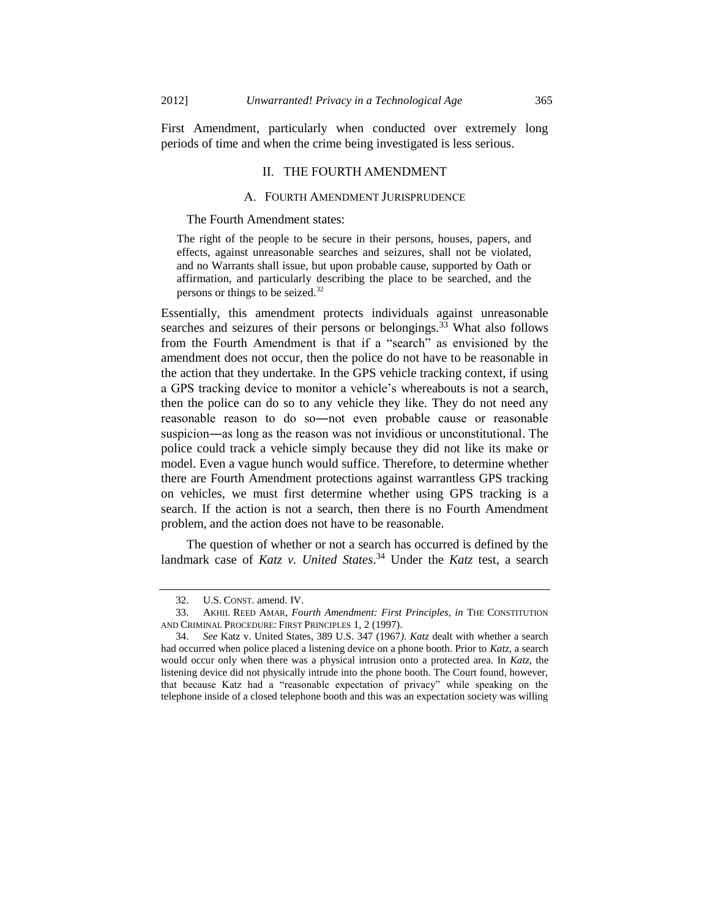First Amendment, particularly when conducted over extremely long periods of time and when the crime being investigated is less serious.

#### II. THE FOURTH AMENDMENT

#### <span id="page-6-0"></span>A. FOURTH AMENDMENT JURISPRUDENCE

#### The Fourth Amendment states:

The right of the people to be secure in their persons, houses, papers, and effects, against unreasonable searches and seizures, shall not be violated, and no Warrants shall issue, but upon probable cause, supported by Oath or affirmation, and particularly describing the place to be searched, and the persons or things to be seized.<sup>32</sup>

Essentially, this amendment protects individuals against unreasonable searches and seizures of their persons or belongings.<sup>33</sup> What also follows from the Fourth Amendment is that if a "search" as envisioned by the amendment does not occur, then the police do not have to be reasonable in the action that they undertake. In the GPS vehicle tracking context, if using a GPS tracking device to monitor a vehicle's whereabouts is not a search, then the police can do so to any vehicle they like. They do not need any reasonable reason to do so―not even probable cause or reasonable suspicion―as long as the reason was not invidious or unconstitutional. The police could track a vehicle simply because they did not like its make or model. Even a vague hunch would suffice. Therefore, to determine whether there are Fourth Amendment protections against warrantless GPS tracking on vehicles, we must first determine whether using GPS tracking is a search. If the action is not a search, then there is no Fourth Amendment problem, and the action does not have to be reasonable.

The question of whether or not a search has occurred is defined by the landmark case of *Katz v. United States*. <sup>34</sup> Under the *Katz* test, a search

<sup>32.</sup> U.S. CONST. amend. IV.

<sup>33.</sup> AKHIL REED AMAR, *Fourth Amendment: First Principles*, *in* THE CONSTITUTION AND CRIMINAL PROCEDURE: FIRST PRINCIPLES 1, 2 (1997).

<sup>34.</sup> *See* Katz v. United States, 389 U.S. 347 (1967*). Katz* dealt with whether a search had occurred when police placed a listening device on a phone booth. Prior to *Katz*, a search would occur only when there was a physical intrusion onto a protected area. In *Katz*, the listening device did not physically intrude into the phone booth. The Court found, however, that because Katz had a "reasonable expectation of privacy" while speaking on the telephone inside of a closed telephone booth and this was an expectation society was willing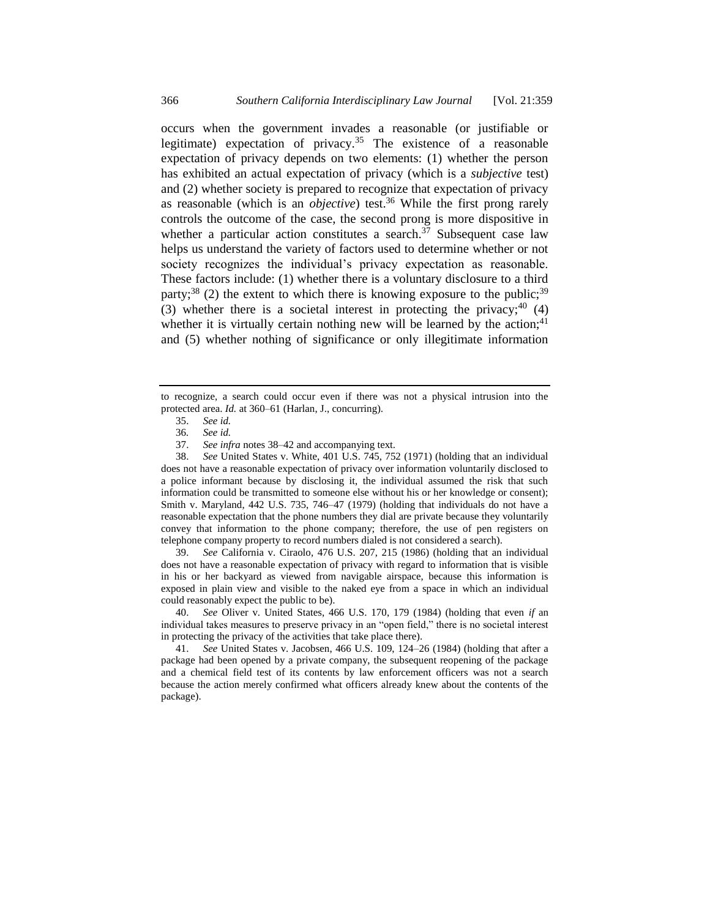occurs when the government invades a reasonable (or justifiable or legitimate) expectation of privacy.<sup>35</sup> The existence of a reasonable expectation of privacy depends on two elements: (1) whether the person has exhibited an actual expectation of privacy (which is a *subjective* test) and (2) whether society is prepared to recognize that expectation of privacy as reasonable (which is an *objective*) test.<sup>36</sup> While the first prong rarely controls the outcome of the case, the second prong is more dispositive in whether a particular action constitutes a search. $37$  Subsequent case law helps us understand the variety of factors used to determine whether or not society recognizes the individual's privacy expectation as reasonable. These factors include: (1) whether there is a voluntary disclosure to a third party;<sup>38</sup> (2) the extent to which there is knowing exposure to the public;<sup>39</sup> (3) whether there is a societal interest in protecting the privacy;  $40(4)$ whether it is virtually certain nothing new will be learned by the action;<sup>41</sup> and (5) whether nothing of significance or only illegitimate information

38. *See* United States v. White, 401 U.S. 745, 752 (1971) (holding that an individual does not have a reasonable expectation of privacy over information voluntarily disclosed to a police informant because by disclosing it, the individual assumed the risk that such information could be transmitted to someone else without his or her knowledge or consent); Smith v. Maryland, 442 U.S. 735, 746–47 (1979) (holding that individuals do not have a reasonable expectation that the phone numbers they dial are private because they voluntarily convey that information to the phone company; therefore, the use of pen registers on telephone company property to record numbers dialed is not considered a search).

39. *See* California v. Ciraolo, 476 U.S. 207, 215 (1986) (holding that an individual does not have a reasonable expectation of privacy with regard to information that is visible in his or her backyard as viewed from navigable airspace, because this information is exposed in plain view and visible to the naked eye from a space in which an individual could reasonably expect the public to be).

40. *See* Oliver v. United States, 466 U.S. 170, 179 (1984) (holding that even *if* an individual takes measures to preserve privacy in an "open field," there is no societal interest in protecting the privacy of the activities that take place there).

41. *See* United States v. Jacobsen, 466 U.S. 109, 124–26 (1984) (holding that after a package had been opened by a private company, the subsequent reopening of the package and a chemical field test of its contents by law enforcement officers was not a search because the action merely confirmed what officers already knew about the contents of the package).

<span id="page-7-0"></span>to recognize, a search could occur even if there was not a physical intrusion into the protected area. *Id.* at 360–61 (Harlan, J., concurring).

<sup>35.</sup> *See id.*

<sup>36</sup>*. See id.*

<sup>37.</sup> *See infra* notes [38](#page-7-0)[–42](#page-8-0) and accompanying text.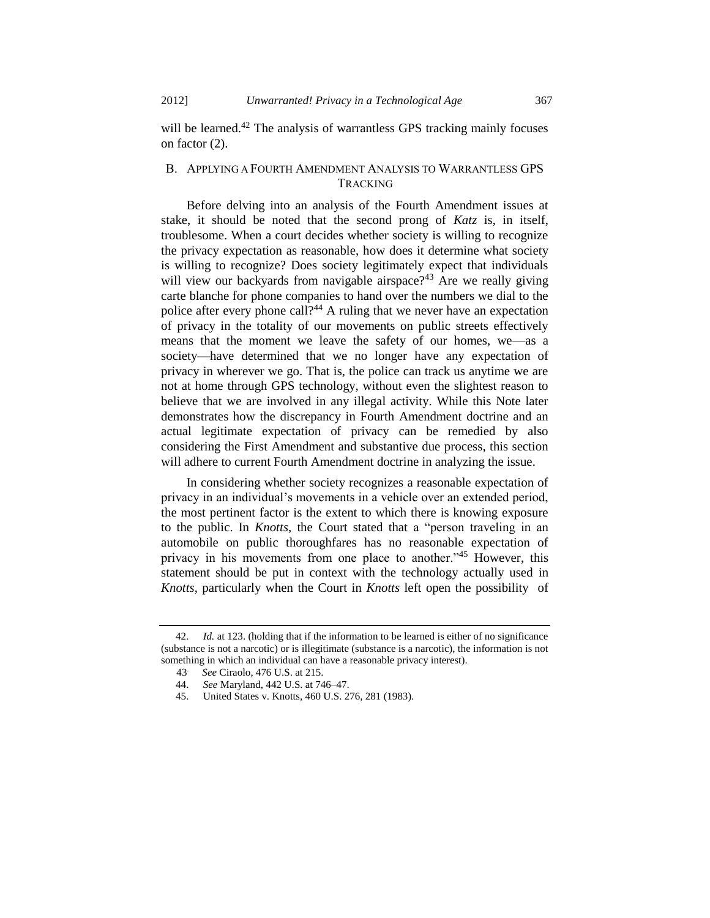<span id="page-8-0"></span>will be learned.<sup>42</sup> The analysis of warrantless GPS tracking mainly focuses on factor (2).

# B. APPLYING A FOURTH AMENDMENT ANALYSIS TO WARRANTLESS GPS TRACKING

Before delving into an analysis of the Fourth Amendment issues at stake, it should be noted that the second prong of *Katz* is, in itself, troublesome. When a court decides whether society is willing to recognize the privacy expectation as reasonable, how does it determine what society is willing to recognize? Does society legitimately expect that individuals will view our backyards from navigable airspace?<sup>43</sup> Are we really giving carte blanche for phone companies to hand over the numbers we dial to the police after every phone call?<sup>44</sup> A ruling that we never have an expectation of privacy in the totality of our movements on public streets effectively means that the moment we leave the safety of our homes, we—as a society—have determined that we no longer have any expectation of privacy in wherever we go. That is, the police can track us anytime we are not at home through GPS technology, without even the slightest reason to believe that we are involved in any illegal activity. While this Note later demonstrates how the discrepancy in Fourth Amendment doctrine and an actual legitimate expectation of privacy can be remedied by also considering the First Amendment and substantive due process, this section will adhere to current Fourth Amendment doctrine in analyzing the issue.

In considering whether society recognizes a reasonable expectation of privacy in an individual's movements in a vehicle over an extended period, the most pertinent factor is the extent to which there is knowing exposure to the public. In *Knotts*, the Court stated that a "person traveling in an automobile on public thoroughfares has no reasonable expectation of privacy in his movements from one place to another."<sup>45</sup> However, this statement should be put in context with the technology actually used in *Knotts*, particularly when the Court in *Knotts* left open the possibility of

*Id.* at 123. (holding that if the information to be learned is either of no significance (substance is not a narcotic) or is illegitimate (substance is a narcotic), the information is not something in which an individual can have a reasonable privacy interest).

*See* Ciraolo, 476 U.S. at 215.

 $43^\circ$ <br> $44^\circ$ 44. *See* Maryland, 442 U.S. at 746–47.

<sup>45.</sup> United States v. Knotts, 460 U.S. 276, 281 (1983).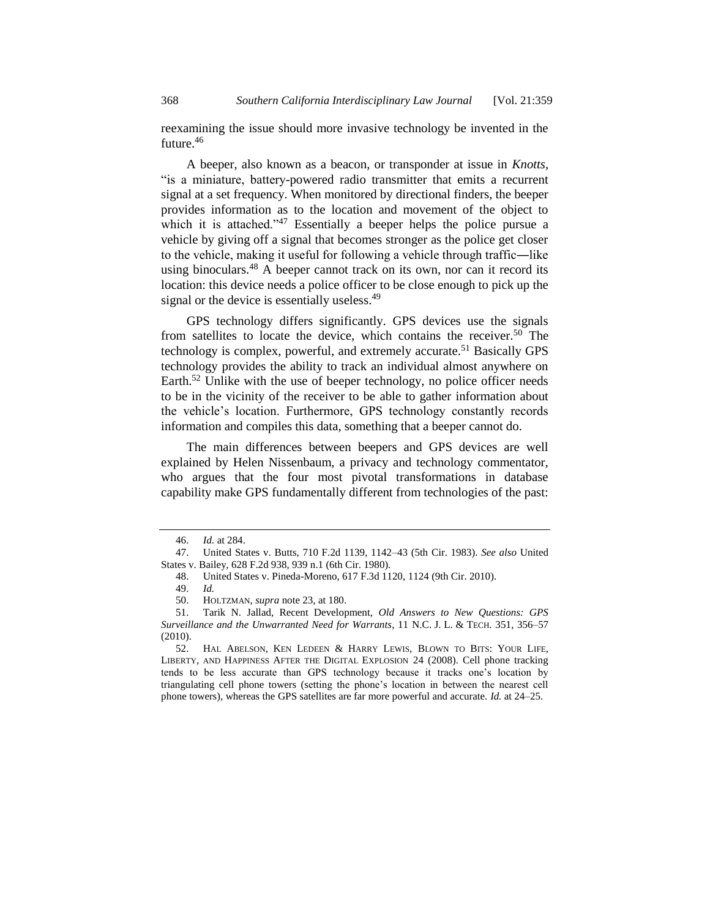reexamining the issue should more invasive technology be invented in the future.<sup>46</sup>

A beeper, also known as a beacon, or transponder at issue in *Knotts*, "is a miniature, battery-powered radio transmitter that emits a recurrent signal at a set frequency. When monitored by directional finders, the beeper provides information as to the location and movement of the object to which it is attached." $47$  Essentially a beeper helps the police pursue a vehicle by giving off a signal that becomes stronger as the police get closer to the vehicle, making it useful for following a vehicle through traffic—like using binoculars.<sup>48</sup> A beeper cannot track on its own, nor can it record its location: this device needs a police officer to be close enough to pick up the signal or the device is essentially useless.<sup>49</sup>

<span id="page-9-0"></span>GPS technology differs significantly. GPS devices use the signals from satellites to locate the device, which contains the receiver.<sup>50</sup> The technology is complex, powerful, and extremely accurate.<sup>51</sup> Basically GPS technology provides the ability to track an individual almost anywhere on Earth.<sup>52</sup> Unlike with the use of beeper technology, no police officer needs to be in the vicinity of the receiver to be able to gather information about the vehicle's location. Furthermore, GPS technology constantly records information and compiles this data, something that a beeper cannot do.

The main differences between beepers and GPS devices are well explained by Helen Nissenbaum, a privacy and technology commentator, who argues that the four most pivotal transformations in database capability make GPS fundamentally different from technologies of the past:

<sup>46.</sup> *Id.* at 284.

<sup>47.</sup> United States v. Butts, 710 F.2d 1139, 1142–43 (5th Cir. 1983). *See also* United States v. Bailey, 628 F.2d 938, 939 n.1 (6th Cir. 1980).

<sup>48.</sup> United States v. Pineda-Moreno, 617 F.3d 1120, 1124 (9th Cir. 2010).

<sup>49.</sup> *Id.*

<sup>50.</sup> HOLTZMAN, *supra* note [23,](#page-4-0) at 180.

<sup>51.</sup> Tarik N. Jallad, Recent Development, *Old Answers to New Questions: GPS Surveillance and the Unwarranted Need for Warrants*, 11 N.C. J. L. & TECH. 351, 356–57 (2010).

<sup>52.</sup> HAL ABELSON, KEN LEDEEN & HARRY LEWIS, BLOWN TO BITS: YOUR LIFE, LIBERTY, AND HAPPINESS AFTER THE DIGITAL EXPLOSION 24 (2008). Cell phone tracking tends to be less accurate than GPS technology because it tracks one's location by triangulating cell phone towers (setting the phone's location in between the nearest cell phone towers), whereas the GPS satellites are far more powerful and accurate. *Id.* at 24–25.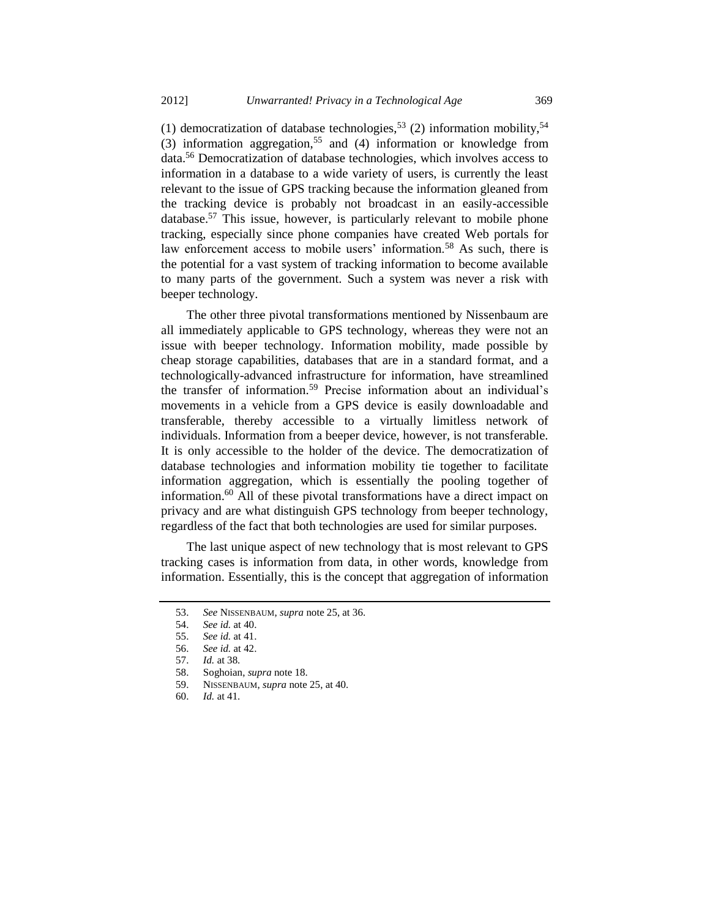(1) democratization of database technologies,<sup>53</sup> (2) information mobility,<sup>54</sup> (3) information aggregation,<sup>55</sup> and (4) information or knowledge from data.<sup>56</sup> Democratization of database technologies, which involves access to information in a database to a wide variety of users, is currently the least relevant to the issue of GPS tracking because the information gleaned from the tracking device is probably not broadcast in an easily-accessible database.<sup>57</sup> This issue, however, is particularly relevant to mobile phone tracking, especially since phone companies have created Web portals for law enforcement access to mobile users' information.<sup>58</sup> As such, there is the potential for a vast system of tracking information to become available to many parts of the government. Such a system was never a risk with beeper technology.

The other three pivotal transformations mentioned by Nissenbaum are all immediately applicable to GPS technology, whereas they were not an issue with beeper technology. Information mobility, made possible by cheap storage capabilities, databases that are in a standard format, and a technologically-advanced infrastructure for information, have streamlined the transfer of information.<sup>59</sup> Precise information about an individual's movements in a vehicle from a GPS device is easily downloadable and transferable, thereby accessible to a virtually limitless network of individuals. Information from a beeper device, however, is not transferable. It is only accessible to the holder of the device. The democratization of database technologies and information mobility tie together to facilitate information aggregation, which is essentially the pooling together of information.<sup>60</sup> All of these pivotal transformations have a direct impact on privacy and are what distinguish GPS technology from beeper technology, regardless of the fact that both technologies are used for similar purposes.

The last unique aspect of new technology that is most relevant to GPS tracking cases is information from data, in other words, knowledge from information. Essentially, this is the concept that aggregation of information

<sup>53.</sup> *See* NISSENBAUM, *supra* note [25,](#page-4-1) at 36.

<sup>54.</sup> *See id.* at 40.

<sup>55.</sup> *See id.* at 41.

<sup>56.</sup> *See id.* at 42.

<sup>57.</sup> *Id.* at 38.

<sup>58.</sup> Soghoian, *supra* not[e 18.](#page-3-0)

<sup>59.</sup> NISSENBAUM, *supra* not[e 25,](#page-4-1) at 40.

<sup>60.</sup> *Id.* at 41.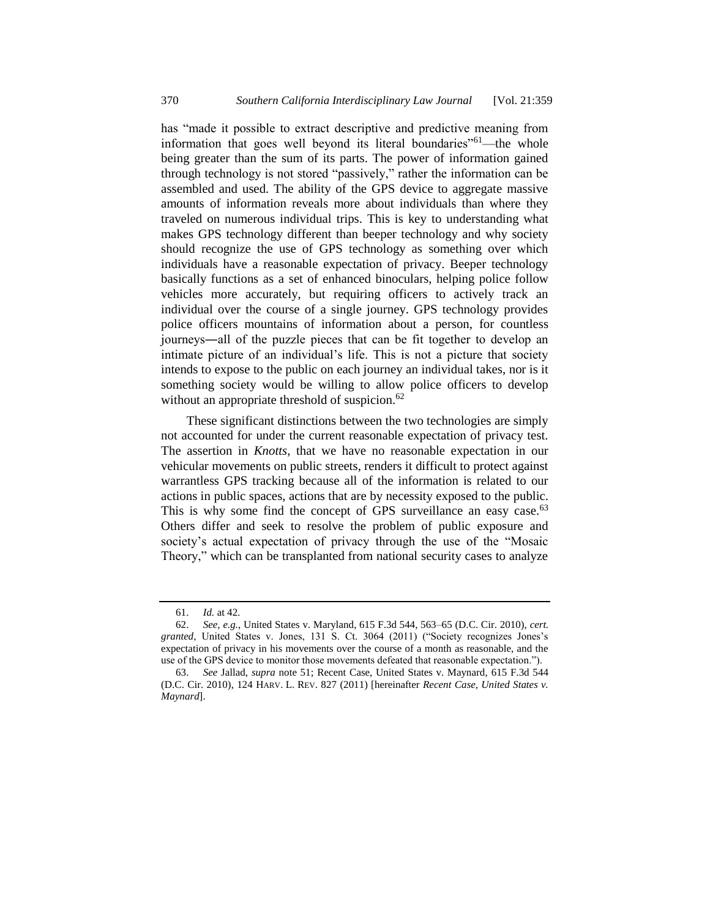has "made it possible to extract descriptive and predictive meaning from information that goes well beyond its literal boundaries<sup>"61</sup>—the whole being greater than the sum of its parts. The power of information gained through technology is not stored "passively," rather the information can be assembled and used. The ability of the GPS device to aggregate massive amounts of information reveals more about individuals than where they traveled on numerous individual trips. This is key to understanding what makes GPS technology different than beeper technology and why society should recognize the use of GPS technology as something over which individuals have a reasonable expectation of privacy. Beeper technology basically functions as a set of enhanced binoculars, helping police follow vehicles more accurately, but requiring officers to actively track an individual over the course of a single journey. GPS technology provides police officers mountains of information about a person, for countless journeys―all of the puzzle pieces that can be fit together to develop an intimate picture of an individual's life. This is not a picture that society intends to expose to the public on each journey an individual takes, nor is it something society would be willing to allow police officers to develop without an appropriate threshold of suspicion.<sup>62</sup>

These significant distinctions between the two technologies are simply not accounted for under the current reasonable expectation of privacy test. The assertion in *Knotts*, that we have no reasonable expectation in our vehicular movements on public streets, renders it difficult to protect against warrantless GPS tracking because all of the information is related to our actions in public spaces, actions that are by necessity exposed to the public. This is why some find the concept of GPS surveillance an easy case.<sup>63</sup> Others differ and seek to resolve the problem of public exposure and society's actual expectation of privacy through the use of the "Mosaic Theory," which can be transplanted from national security cases to analyze

<span id="page-11-0"></span><sup>61.</sup> *Id.* at 42.

<sup>62.</sup> *See, e.g.*, United States v. Maryland, 615 F.3d 544, 563–65 (D.C. Cir. 2010), *cert. granted*, United States v. Jones, 131 S. Ct. 3064 (2011) ("Society recognizes Jones's expectation of privacy in his movements over the course of a month as reasonable, and the use of the GPS device to monitor those movements defeated that reasonable expectation.").

<sup>63.</sup> *See* Jallad, *supra* note [51;](#page-9-0) Recent Case, United States v. Maynard, 615 F.3d 544 (D.C. Cir. 2010), 124 HARV. L. REV. 827 (2011) [hereinafter *Recent Case, United States v. Maynard*].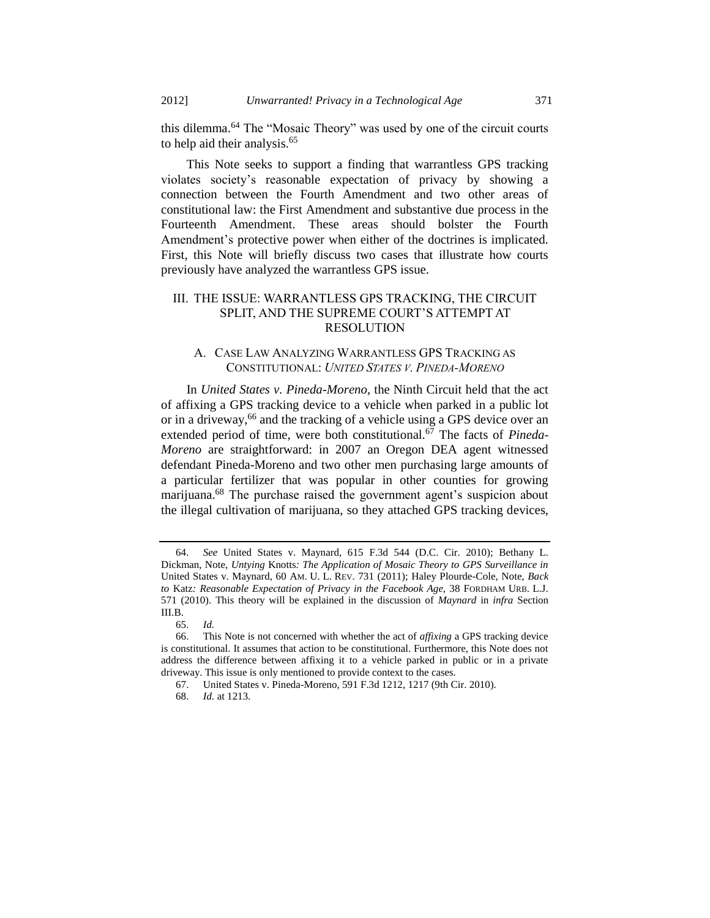<span id="page-12-0"></span>this dilemma.<sup>64</sup> The "Mosaic Theory" was used by one of the circuit courts to help aid their analysis.<sup>65</sup>

This Note seeks to support a finding that warrantless GPS tracking violates society's reasonable expectation of privacy by showing a connection between the Fourth Amendment and two other areas of constitutional law: the First Amendment and substantive due process in the Fourteenth Amendment. These areas should bolster the Fourth Amendment's protective power when either of the doctrines is implicated. First, this Note will briefly discuss two cases that illustrate how courts previously have analyzed the warrantless GPS issue.

# III. THE ISSUE: WARRANTLESS GPS TRACKING, THE CIRCUIT SPLIT, AND THE SUPREME COURT'S ATTEMPT AT RESOLUTION

## A. CASE LAW ANALYZING WARRANTLESS GPS TRACKING AS CONSTITUTIONAL: *UNITED STATES V. PINEDA-MORENO*

In *United States v. Pineda-Moreno*, the Ninth Circuit held that the act of affixing a GPS tracking device to a vehicle when parked in a public lot or in a driveway,<sup>66</sup> and the tracking of a vehicle using a GPS device over an extended period of time, were both constitutional.<sup>67</sup> The facts of *Pineda-Moreno* are straightforward: in 2007 an Oregon DEA agent witnessed defendant Pineda-Moreno and two other men purchasing large amounts of a particular fertilizer that was popular in other counties for growing marijuana.<sup>68</sup> The purchase raised the government agent's suspicion about the illegal cultivation of marijuana, so they attached GPS tracking devices,

<sup>64.</sup> *See* United States v. Maynard, 615 F.3d 544 (D.C. Cir. 2010); Bethany L. Dickman, Note, *Untying* Knotts*: The Application of Mosaic Theory to GPS Surveillance in*  United States v. Maynard, 60 AM. U. L. REV. 731 (2011); Haley Plourde-Cole, Note, *Back to* Katz*: Reasonable Expectation of Privacy in the Facebook Age*, 38 FORDHAM URB. L.J. 571 (2010). This theory will be explained in the discussion of *Maynard* in *infra* Section III.B.

<sup>65.</sup> *Id.*

<sup>66.</sup> This Note is not concerned with whether the act of *affixing* a GPS tracking device is constitutional. It assumes that action to be constitutional. Furthermore, this Note does not address the difference between affixing it to a vehicle parked in public or in a private driveway. This issue is only mentioned to provide context to the cases.

<sup>67.</sup> United States v. Pineda-Moreno, 591 F.3d 1212, 1217 (9th Cir. 2010).

<sup>68.</sup> *Id.* at 1213.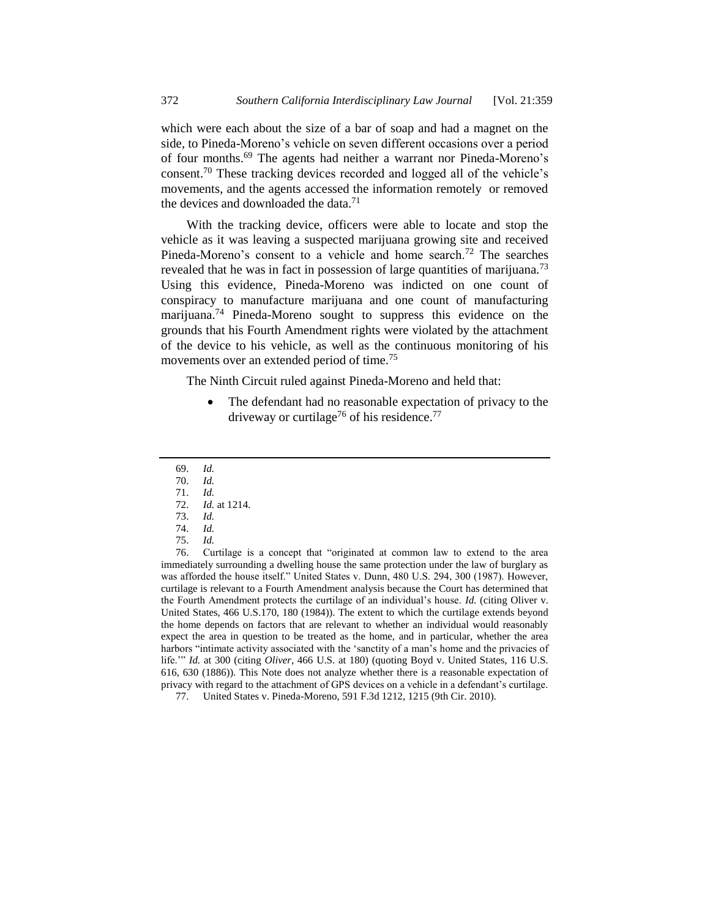which were each about the size of a bar of soap and had a magnet on the side, to Pineda-Moreno's vehicle on seven different occasions over a period of four months.<sup>69</sup> The agents had neither a warrant nor Pineda-Moreno's consent.<sup>70</sup> These tracking devices recorded and logged all of the vehicle's movements, and the agents accessed the information remotely or removed the devices and downloaded the data.<sup>71</sup>

With the tracking device, officers were able to locate and stop the vehicle as it was leaving a suspected marijuana growing site and received Pineda-Moreno's consent to a vehicle and home search.<sup>72</sup> The searches revealed that he was in fact in possession of large quantities of marijuana.<sup>73</sup> Using this evidence, Pineda-Moreno was indicted on one count of conspiracy to manufacture marijuana and one count of manufacturing marijuana.<sup>74</sup> Pineda-Moreno sought to suppress this evidence on the grounds that his Fourth Amendment rights were violated by the attachment of the device to his vehicle, as well as the continuous monitoring of his movements over an extended period of time.<sup>75</sup>

The Ninth Circuit ruled against Pineda-Moreno and held that:

 The defendant had no reasonable expectation of privacy to the driveway or curtilage<sup>76</sup> of his residence.<sup>77</sup>

<sup>69.</sup> *Id.*

<sup>70.</sup> *Id.*

<sup>71.</sup> *Id.* 72. *Id.* at 1214.

<sup>73.</sup> *Id.* 

<sup>74.</sup> *Id.*

<sup>75.</sup> *Id.*

<sup>76.</sup> Curtilage is a concept that "originated at common law to extend to the area immediately surrounding a dwelling house the same protection under the law of burglary as was afforded the house itself." United States v. Dunn, 480 U.S. 294, 300 (1987). However, curtilage is relevant to a Fourth Amendment analysis because the Court has determined that the Fourth Amendment protects the curtilage of an individual's house. *Id.* (citing Oliver v. United States, 466 U.S.170, 180 (1984)). The extent to which the curtilage extends beyond the home depends on factors that are relevant to whether an individual would reasonably expect the area in question to be treated as the home, and in particular, whether the area harbors "intimate activity associated with the 'sanctity of a man's home and the privacies of life.'" *Id.* at 300 (citing *Oliver*, 466 U.S. at 180) (quoting Boyd v. United States, 116 U.S. 616, 630 (1886)). This Note does not analyze whether there is a reasonable expectation of privacy with regard to the attachment of GPS devices on a vehicle in a defendant's curtilage. 77. United States v. Pineda-Moreno, 591 F.3d 1212, 1215 (9th Cir. 2010).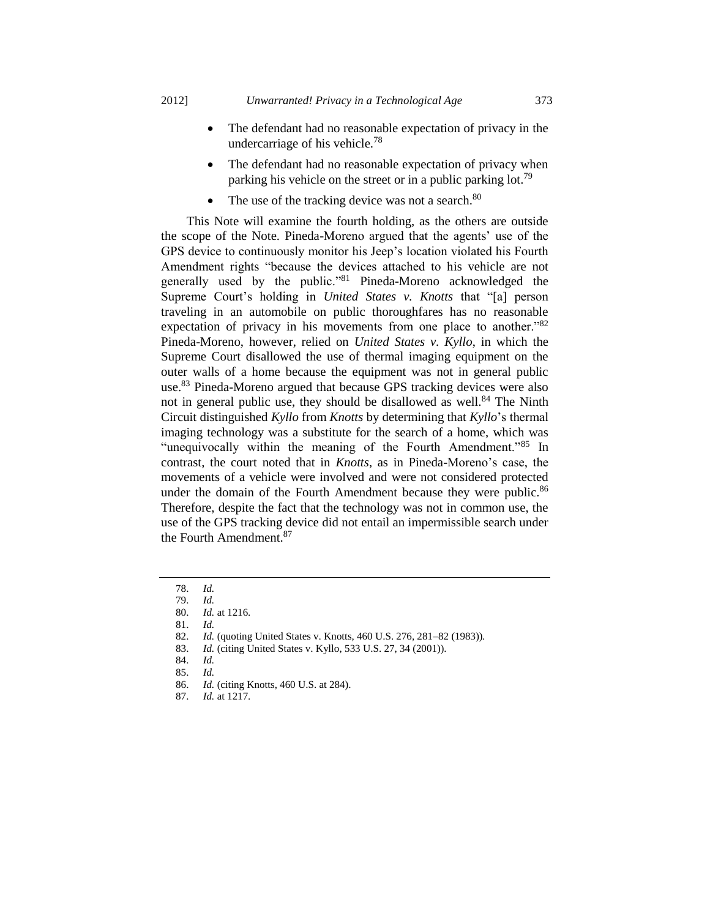- The defendant had no reasonable expectation of privacy in the undercarriage of his vehicle.<sup>78</sup>
- The defendant had no reasonable expectation of privacy when parking his vehicle on the street or in a public parking lot.<sup>79</sup>
- The use of the tracking device was not a search.<sup>80</sup>

This Note will examine the fourth holding, as the others are outside the scope of the Note. Pineda-Moreno argued that the agents' use of the GPS device to continuously monitor his Jeep's location violated his Fourth Amendment rights "because the devices attached to his vehicle are not generally used by the public."<sup>81</sup> Pineda-Moreno acknowledged the Supreme Court's holding in *United States v. Knotts* that "[a] person traveling in an automobile on public thoroughfares has no reasonable expectation of privacy in his movements from one place to another.<sup>782</sup> Pineda-Moreno, however, relied on *United States v. Kyllo*, in which the Supreme Court disallowed the use of thermal imaging equipment on the outer walls of a home because the equipment was not in general public use.<sup>83</sup> Pineda-Moreno argued that because GPS tracking devices were also not in general public use, they should be disallowed as well.<sup>84</sup> The Ninth Circuit distinguished *Kyllo* from *Knotts* by determining that *Kyllo*'s thermal imaging technology was a substitute for the search of a home, which was "unequivocally within the meaning of the Fourth Amendment."<sup>85</sup> In contrast, the court noted that in *Knotts*, as in Pineda-Moreno's case, the movements of a vehicle were involved and were not considered protected under the domain of the Fourth Amendment because they were public.<sup>86</sup> Therefore, despite the fact that the technology was not in common use, the use of the GPS tracking device did not entail an impermissible search under the Fourth Amendment.<sup>87</sup>

<sup>78.</sup> *Id.* 

<sup>79.</sup> *Id.*

<sup>80.</sup> *Id.* at 1216.

<sup>81.</sup> *Id.*

<sup>82.</sup> *Id.* (quoting United States v. Knotts, 460 U.S. 276, 281–82 (1983)).

<sup>83.</sup> *Id.* (citing United States v. Kyllo, 533 U.S. 27, 34 (2001)).

<sup>84.</sup> *Id.*

<sup>85.</sup> *Id.*

<sup>86.</sup> *Id.* (citing Knotts, 460 U.S. at 284).

<sup>87.</sup> *Id.* at 1217.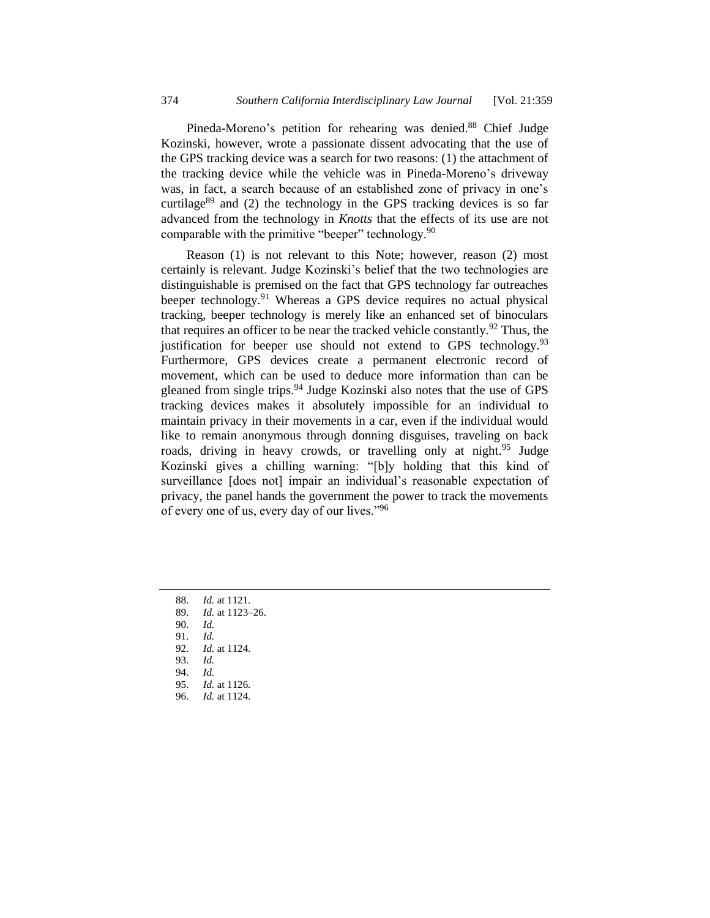Pineda-Moreno's petition for rehearing was denied.<sup>88</sup> Chief Judge Kozinski, however, wrote a passionate dissent advocating that the use of the GPS tracking device was a search for two reasons: (1) the attachment of the tracking device while the vehicle was in Pineda-Moreno's driveway was, in fact, a search because of an established zone of privacy in one's curtilage $89$  and (2) the technology in the GPS tracking devices is so far advanced from the technology in *Knotts* that the effects of its use are not comparable with the primitive "beeper" technology.<sup>90</sup>

Reason (1) is not relevant to this Note; however, reason (2) most certainly is relevant. Judge Kozinski's belief that the two technologies are distinguishable is premised on the fact that GPS technology far outreaches beeper technology.<sup>91</sup> Whereas a GPS device requires no actual physical tracking, beeper technology is merely like an enhanced set of binoculars that requires an officer to be near the tracked vehicle constantly.<sup>92</sup> Thus, the justification for beeper use should not extend to GPS technology.<sup>93</sup> Furthermore, GPS devices create a permanent electronic record of movement, which can be used to deduce more information than can be gleaned from single trips.<sup>94</sup> Judge Kozinski also notes that the use of GPS tracking devices makes it absolutely impossible for an individual to maintain privacy in their movements in a car, even if the individual would like to remain anonymous through donning disguises, traveling on back roads, driving in heavy crowds, or travelling only at night.<sup>95</sup> Judge Kozinski gives a chilling warning: "[b]y holding that this kind of surveillance [does not] impair an individual's reasonable expectation of privacy, the panel hands the government the power to track the movements of every one of us, every day of our lives."<sup>96</sup>

89. *Id.* at 1123–26.

90. *Id.*

- 91. *Id.*
- 92. *Id.* at 1124.
- 93. *Id.*
- 94. *Id.* 95. *Id.* at 1126.
- 96. *Id.* at 1124.

<sup>88.</sup> *Id.* at 1121.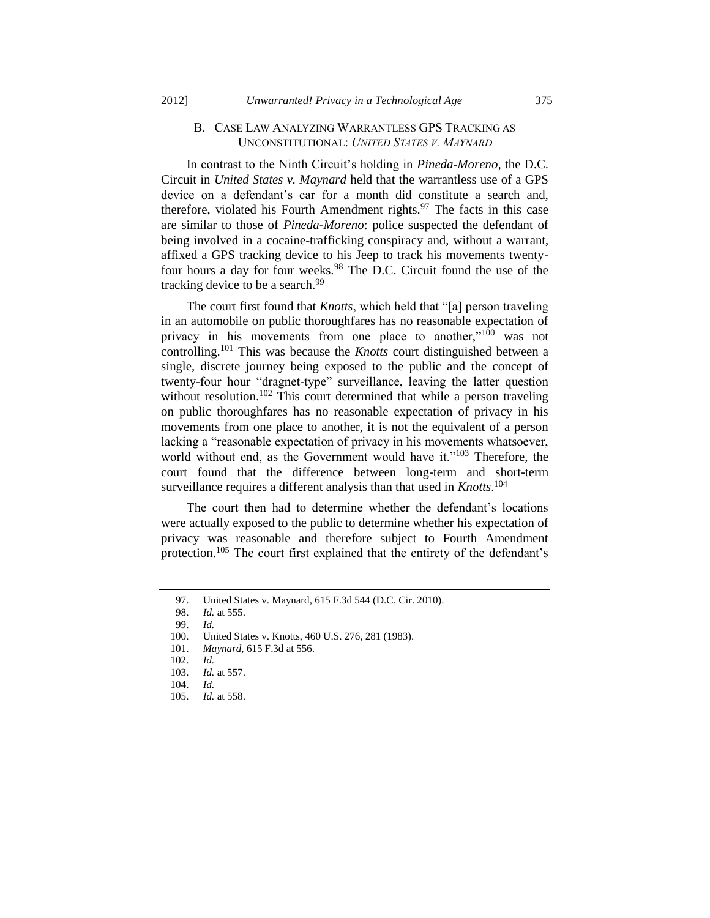### B. CASE LAW ANALYZING WARRANTLESS GPS TRACKING AS UNCONSTITUTIONAL: *UNITED STATES V. MAYNARD*

In contrast to the Ninth Circuit's holding in *Pineda-Moreno,* the D.C. Circuit in *United States v. Maynard* held that the warrantless use of a GPS device on a defendant's car for a month did constitute a search and, therefore, violated his Fourth Amendment rights. $97$  The facts in this case are similar to those of *Pineda-Moreno*: police suspected the defendant of being involved in a cocaine-trafficking conspiracy and, without a warrant, affixed a GPS tracking device to his Jeep to track his movements twentyfour hours a day for four weeks.<sup>98</sup> The D.C. Circuit found the use of the tracking device to be a search.<sup>99</sup>

The court first found that *Knotts*, which held that "[a] person traveling in an automobile on public thoroughfares has no reasonable expectation of privacy in his movements from one place to another,"<sup>100</sup> was not controlling.<sup>101</sup> This was because the *Knotts* court distinguished between a single, discrete journey being exposed to the public and the concept of twenty-four hour "dragnet-type" surveillance, leaving the latter question without resolution.<sup>102</sup> This court determined that while a person traveling on public thoroughfares has no reasonable expectation of privacy in his movements from one place to another, it is not the equivalent of a person lacking a "reasonable expectation of privacy in his movements whatsoever, world without end, as the Government would have it."<sup>103</sup> Therefore, the court found that the difference between long-term and short-term surveillance requires a different analysis than that used in *Knotts*. 104

The court then had to determine whether the defendant's locations were actually exposed to the public to determine whether his expectation of privacy was reasonable and therefore subject to Fourth Amendment protection.<sup>105</sup> The court first explained that the entirety of the defendant's

<sup>97.</sup> United States v. Maynard, 615 F.3d 544 (D.C. Cir. 2010).

<sup>98.</sup> *Id.* at 555.

<sup>99.</sup> *Id.*

<sup>100.</sup> United States v. Knotts, 460 U.S. 276, 281 (1983).

<sup>101.</sup> *Maynard*, 615 F.3d at 556.

<sup>102.</sup> *Id.*

<sup>103.</sup> *Id.* at 557.

<sup>104.</sup> *Id.*

<sup>105.</sup> *Id.* at 558.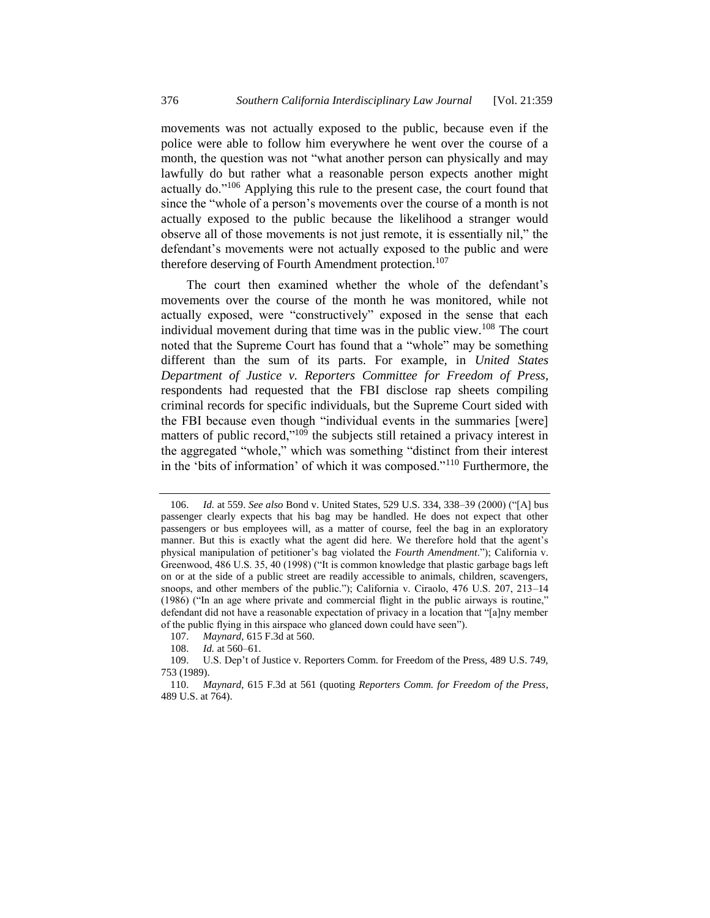movements was not actually exposed to the public, because even if the police were able to follow him everywhere he went over the course of a month, the question was not "what another person can physically and may lawfully do but rather what a reasonable person expects another might actually do."<sup>106</sup> Applying this rule to the present case, the court found that since the "whole of a person's movements over the course of a month is not actually exposed to the public because the likelihood a stranger would observe all of those movements is not just remote, it is essentially nil," the defendant's movements were not actually exposed to the public and were therefore deserving of Fourth Amendment protection.<sup>107</sup>

The court then examined whether the whole of the defendant's movements over the course of the month he was monitored, while not actually exposed, were "constructively" exposed in the sense that each individual movement during that time was in the public view.<sup>108</sup> The court noted that the Supreme Court has found that a "whole" may be something different than the sum of its parts. For example, in *United States Department of Justice v. Reporters Committee for Freedom of Press*, respondents had requested that the FBI disclose rap sheets compiling criminal records for specific individuals, but the Supreme Court sided with the FBI because even though "individual events in the summaries [were] matters of public record,"<sup>109</sup> the subjects still retained a privacy interest in the aggregated "whole," which was something "distinct from their interest in the 'bits of information' of which it was composed."<sup>110</sup> Furthermore, the

<sup>106.</sup> *Id.* at 559. *See also* Bond v. United States, 529 U.S. 334, 338–39 (2000) ("[A] bus passenger clearly expects that his bag may be handled. He does not expect that other passengers or bus employees will, as a matter of course, feel the bag in an exploratory manner. But this is exactly what the agent did here. We therefore hold that the agent's physical manipulation of petitioner's bag violated the *Fourth Amendment*."); California v. Greenwood, 486 U.S. 35, 40 (1998) ("It is common knowledge that plastic garbage bags left on or at the side of a public street are readily accessible to animals, children, scavengers, snoops, and other members of the public."); California v. Ciraolo, 476 U.S. 207, 213–14 (1986) ("In an age where private and commercial flight in the public airways is routine," defendant did not have a reasonable expectation of privacy in a location that "[a]ny member of the public flying in this airspace who glanced down could have seen").

<sup>107.</sup> *Maynard*, 615 F.3d at 560.

<sup>108.</sup> *Id.* at 560–61.

<sup>109.</sup> U.S. Dep't of Justice v. Reporters Comm. for Freedom of the Press, 489 U.S. 749, 753 (1989).

<sup>110.</sup> *Maynard*, 615 F.3d at 561 (quoting *Reporters Comm. for Freedom of the Press*, 489 U.S. at 764).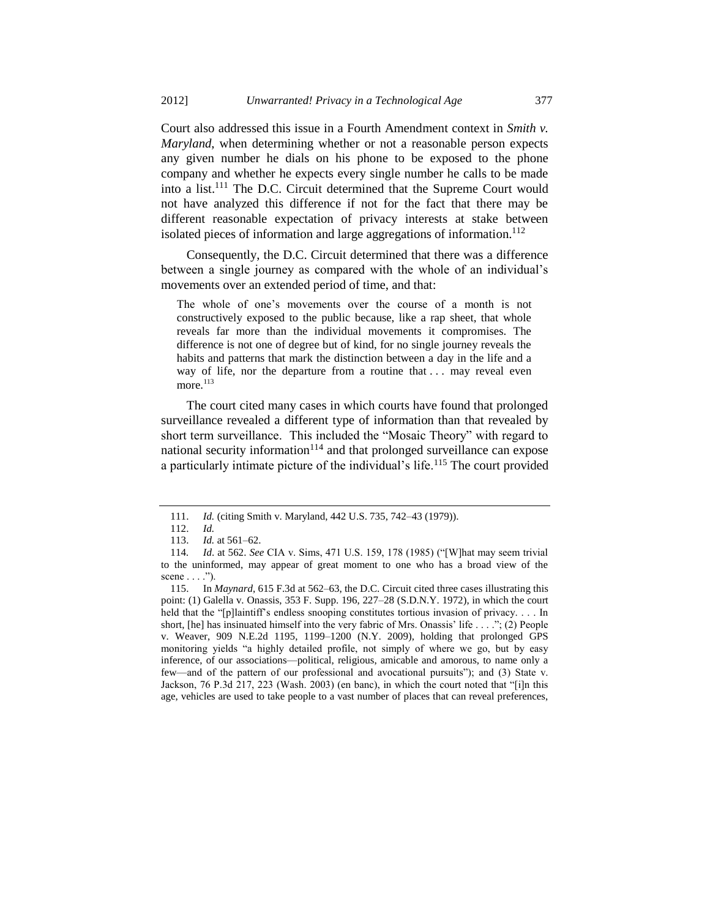Court also addressed this issue in a Fourth Amendment context in *Smith v. Maryland*, when determining whether or not a reasonable person expects any given number he dials on his phone to be exposed to the phone company and whether he expects every single number he calls to be made into a list.<sup>111</sup> The D.C. Circuit determined that the Supreme Court would not have analyzed this difference if not for the fact that there may be different reasonable expectation of privacy interests at stake between isolated pieces of information and large aggregations of information.<sup>112</sup>

Consequently, the D.C. Circuit determined that there was a difference between a single journey as compared with the whole of an individual's movements over an extended period of time, and that:

The whole of one's movements over the course of a month is not constructively exposed to the public because, like a rap sheet, that whole reveals far more than the individual movements it compromises. The difference is not one of degree but of kind, for no single journey reveals the habits and patterns that mark the distinction between a day in the life and a way of life, nor the departure from a routine that ... may reveal even more. $113$ 

The court cited many cases in which courts have found that prolonged surveillance revealed a different type of information than that revealed by short term surveillance. This included the "Mosaic Theory" with regard to national security information $114$  and that prolonged surveillance can expose a particularly intimate picture of the individual's life.<sup>115</sup> The court provided

<sup>111.</sup> *Id.* (citing Smith v. Maryland, 442 U.S. 735, 742–43 (1979)).

<sup>112.</sup> *Id.*

<sup>113.</sup> *Id.* at 561–62.

<sup>114</sup>*. Id*. at 562. *See* CIA v. Sims, 471 U.S. 159, 178 (1985) ("[W]hat may seem trivial to the uninformed, may appear of great moment to one who has a broad view of the scene  $\dots$ .").

<sup>115.</sup> In *Maynard*, 615 F.3d at 562–63, the D.C. Circuit cited three cases illustrating this point: (1) Galella v. Onassis, 353 F. Supp. 196, 227–28 (S.D.N.Y. 1972), in which the court held that the "[p]laintiff's endless snooping constitutes tortious invasion of privacy.... In short, [he] has insinuated himself into the very fabric of Mrs. Onassis' life . . . ."; (2) People v. Weaver, 909 N.E.2d 1195, 1199–1200 (N.Y. 2009), holding that prolonged GPS monitoring yields "a highly detailed profile, not simply of where we go, but by easy inference, of our associations—political, religious, amicable and amorous, to name only a few—and of the pattern of our professional and avocational pursuits"); and (3) State v. Jackson, 76 P.3d 217, 223 (Wash. 2003) (en banc), in which the court noted that "[i]n this age, vehicles are used to take people to a vast number of places that can reveal preferences,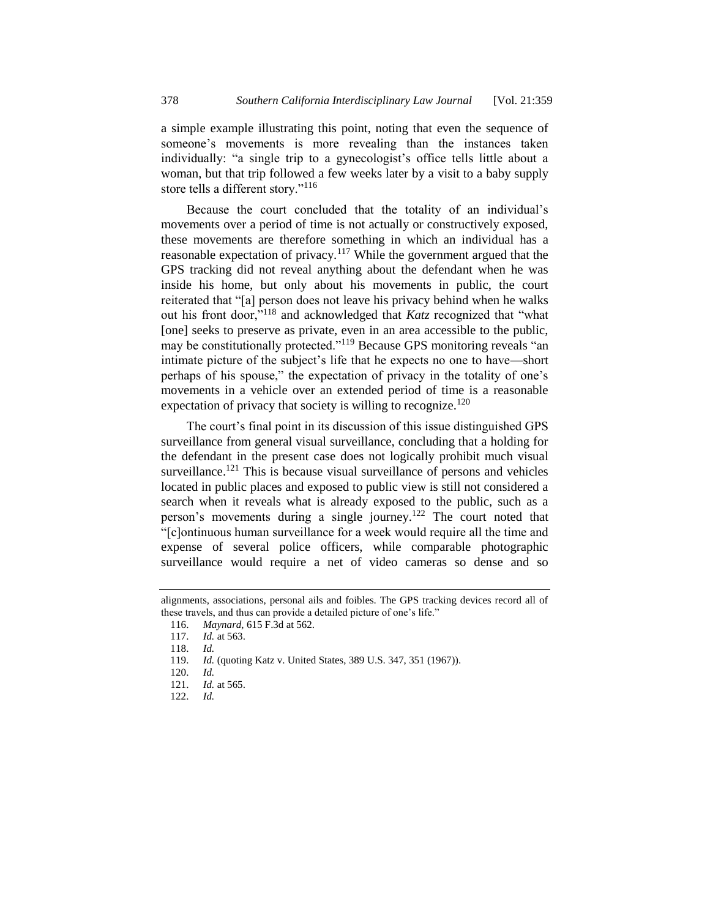a simple example illustrating this point, noting that even the sequence of someone's movements is more revealing than the instances taken individually: "a single trip to a gynecologist's office tells little about a woman, but that trip followed a few weeks later by a visit to a baby supply store tells a different story."<sup>116</sup>

Because the court concluded that the totality of an individual's movements over a period of time is not actually or constructively exposed, these movements are therefore something in which an individual has a reasonable expectation of privacy.<sup>117</sup> While the government argued that the GPS tracking did not reveal anything about the defendant when he was inside his home, but only about his movements in public, the court reiterated that "[a] person does not leave his privacy behind when he walks out his front door,"<sup>118</sup> and acknowledged that *Katz* recognized that "what [one] seeks to preserve as private, even in an area accessible to the public, may be constitutionally protected."<sup>119</sup> Because GPS monitoring reveals "an intimate picture of the subject's life that he expects no one to have—short perhaps of his spouse," the expectation of privacy in the totality of one's movements in a vehicle over an extended period of time is a reasonable expectation of privacy that society is willing to recognize.<sup>120</sup>

The court's final point in its discussion of this issue distinguished GPS surveillance from general visual surveillance, concluding that a holding for the defendant in the present case does not logically prohibit much visual surveillance.<sup>121</sup> This is because visual surveillance of persons and vehicles located in public places and exposed to public view is still not considered a search when it reveals what is already exposed to the public, such as a person's movements during a single journey.<sup>122</sup> The court noted that "[c]ontinuous human surveillance for a week would require all the time and expense of several police officers, while comparable photographic surveillance would require a net of video cameras so dense and so

alignments, associations, personal ails and foibles. The GPS tracking devices record all of these travels, and thus can provide a detailed picture of one's life."

<sup>116.</sup> *Maynard*, 615 F.3d at 562.

<sup>117.</sup> *Id.* at 563.

<sup>118.</sup> *Id.*

<sup>119.</sup> *Id.* (quoting Katz v. United States, 389 U.S. 347, 351 (1967)).

<sup>120.</sup> *Id.*

<sup>121.</sup> *Id.* at 565.

<sup>122.</sup> *Id.*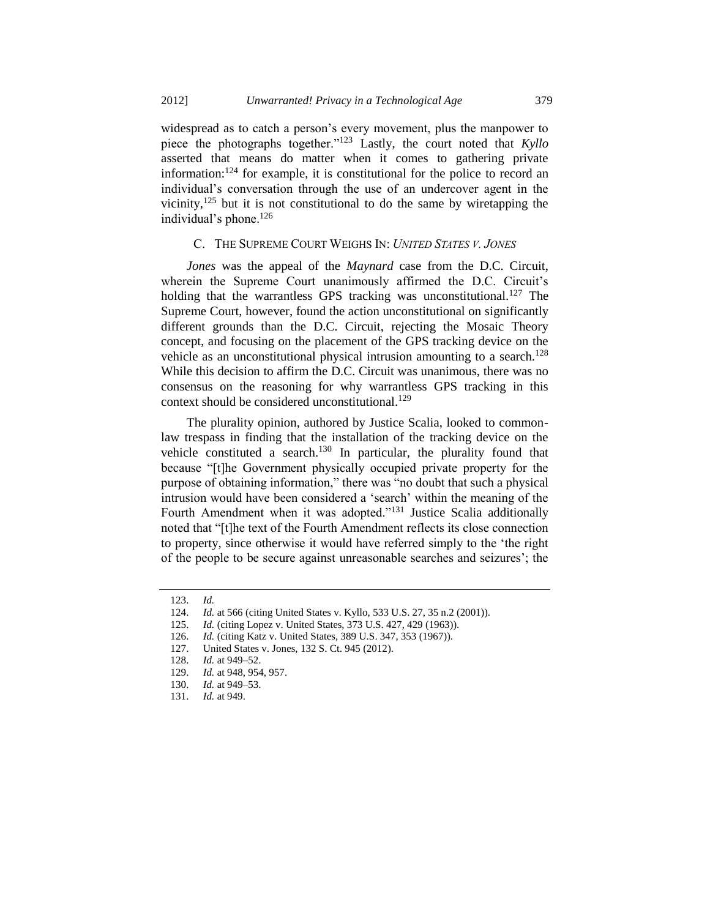widespread as to catch a person's every movement, plus the manpower to piece the photographs together."<sup>123</sup> Lastly, the court noted that *Kyllo* asserted that means do matter when it comes to gathering private information:<sup>124</sup> for example, it is constitutional for the police to record an individual's conversation through the use of an undercover agent in the vicinity, $125$  but it is not constitutional to do the same by wiretapping the individual's phone.<sup>126</sup>

### C. THE SUPREME COURT WEIGHS IN: *UNITED STATES V. JONES*

*Jones* was the appeal of the *Maynard* case from the D.C. Circuit, wherein the Supreme Court unanimously affirmed the D.C. Circuit's holding that the warrantless GPS tracking was unconstitutional.<sup>127</sup> The Supreme Court, however, found the action unconstitutional on significantly different grounds than the D.C. Circuit, rejecting the Mosaic Theory concept, and focusing on the placement of the GPS tracking device on the vehicle as an unconstitutional physical intrusion amounting to a search.<sup>128</sup> While this decision to affirm the D.C. Circuit was unanimous, there was no consensus on the reasoning for why warrantless GPS tracking in this context should be considered unconstitutional.<sup>129</sup>

The plurality opinion, authored by Justice Scalia, looked to commonlaw trespass in finding that the installation of the tracking device on the vehicle constituted a search.<sup>130</sup> In particular, the plurality found that because "[t]he Government physically occupied private property for the purpose of obtaining information," there was "no doubt that such a physical intrusion would have been considered a 'search' within the meaning of the Fourth Amendment when it was adopted."<sup>131</sup> Justice Scalia additionally noted that "[t]he text of the Fourth Amendment reflects its close connection to property, since otherwise it would have referred simply to the 'the right of the people to be secure against unreasonable searches and seizures'; the

<sup>123.</sup> *Id.*

<sup>124.</sup> *Id.* at 566 (citing United States v. Kyllo, 533 U.S. 27, 35 n.2 (2001)).

<sup>125.</sup> *Id.* (citing Lopez v. United States, 373 U.S. 427, 429 (1963)).

<sup>126.</sup> *Id.* (citing Katz v. United States, 389 U.S. 347, 353 (1967)).

<sup>127.</sup> United States v. Jones, 132 S. Ct. 945 (2012).

<sup>128.</sup> *Id.* at 949–52.

<sup>129.</sup> *Id.* at 948, 954, 957.

<sup>130.</sup> *Id.* at 949–53.

<sup>131.</sup> *Id.* at 949.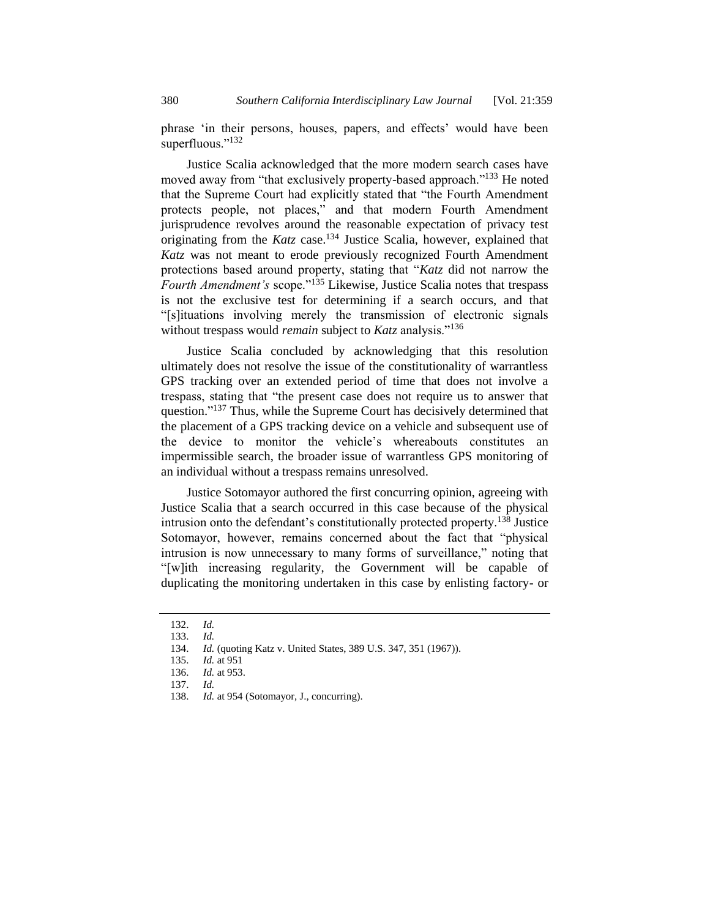phrase 'in their persons, houses, papers, and effects' would have been superfluous."<sup>132</sup>

Justice Scalia acknowledged that the more modern search cases have moved away from "that exclusively property-based approach."<sup>133</sup> He noted that the Supreme Court had explicitly stated that "the Fourth Amendment protects people, not places," and that modern Fourth Amendment jurisprudence revolves around the reasonable expectation of privacy test originating from the *Katz* case.<sup>134</sup> Justice Scalia, however, explained that *Katz* was not meant to erode previously recognized Fourth Amendment protections based around property, stating that "*Katz* did not narrow the *Fourth Amendment's* scope."<sup>135</sup> Likewise, Justice Scalia notes that trespass is not the exclusive test for determining if a search occurs, and that "[s]ituations involving merely the transmission of electronic signals without trespass would *remain* subject to *Katz* analysis."<sup>136</sup>

Justice Scalia concluded by acknowledging that this resolution ultimately does not resolve the issue of the constitutionality of warrantless GPS tracking over an extended period of time that does not involve a trespass, stating that "the present case does not require us to answer that question."<sup>137</sup> Thus, while the Supreme Court has decisively determined that the placement of a GPS tracking device on a vehicle and subsequent use of the device to monitor the vehicle's whereabouts constitutes an impermissible search, the broader issue of warrantless GPS monitoring of an individual without a trespass remains unresolved.

Justice Sotomayor authored the first concurring opinion, agreeing with Justice Scalia that a search occurred in this case because of the physical intrusion onto the defendant's constitutionally protected property.<sup>138</sup> Justice Sotomayor, however, remains concerned about the fact that "physical intrusion is now unnecessary to many forms of surveillance," noting that "[w]ith increasing regularity, the Government will be capable of duplicating the monitoring undertaken in this case by enlisting factory- or

<sup>132.</sup> *Id.*

<sup>133.</sup> *Id.*

<sup>134.</sup> *Id.* (quoting Katz v. United States, 389 U.S. 347, 351 (1967)).

<sup>135.</sup> *Id.* at 951

<sup>136.</sup> *Id.* at 953.

<sup>137.</sup> *Id.*

<sup>138.</sup> *Id.* at 954 (Sotomayor, J., concurring).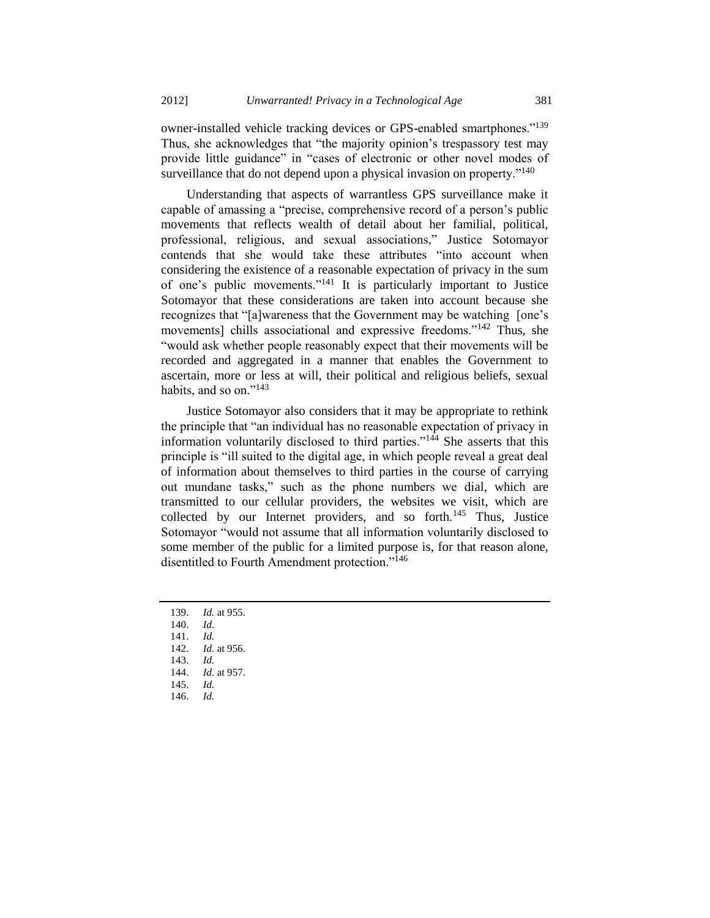owner-installed vehicle tracking devices or GPS-enabled smartphones."<sup>139</sup> Thus, she acknowledges that "the majority opinion's trespassory test may provide little guidance" in "cases of electronic or other novel modes of surveillance that do not depend upon a physical invasion on property."<sup>140</sup>

Understanding that aspects of warrantless GPS surveillance make it capable of amassing a "precise, comprehensive record of a person's public movements that reflects wealth of detail about her familial, political, professional, religious, and sexual associations," Justice Sotomayor contends that she would take these attributes "into account when considering the existence of a reasonable expectation of privacy in the sum of one's public movements."<sup>141</sup> It is particularly important to Justice Sotomayor that these considerations are taken into account because she recognizes that "[a]wareness that the Government may be watching [one's movements] chills associational and expressive freedoms."<sup>142</sup> Thus, she "would ask whether people reasonably expect that their movements will be recorded and aggregated in a manner that enables the Government to ascertain, more or less at will, their political and religious beliefs, sexual habits, and so on." $143$ 

Justice Sotomayor also considers that it may be appropriate to rethink the principle that "an individual has no reasonable expectation of privacy in information voluntarily disclosed to third parties." $144$  She asserts that this principle is "ill suited to the digital age, in which people reveal a great deal of information about themselves to third parties in the course of carrying out mundane tasks," such as the phone numbers we dial, which are transmitted to our cellular providers, the websites we visit, which are collected by our Internet providers, and so forth.<sup>145</sup> Thus, Justice Sotomayor "would not assume that all information voluntarily disclosed to some member of the public for a limited purpose is, for that reason alone, disentitled to Fourth Amendment protection."<sup>146</sup>

139. *Id.* at 955. 140. *Id.* 141. *Id.* 142. *Id.* at 956. 143. *Id.* 144. *Id.* at 957. 145. *Id.* 146. *Id.*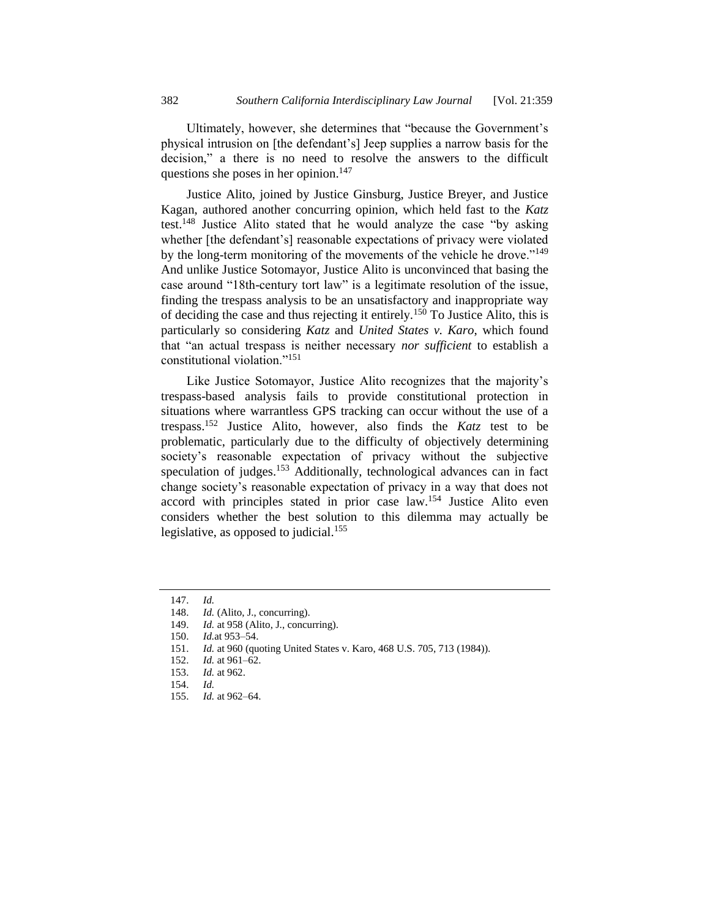Ultimately, however, she determines that "because the Government's physical intrusion on [the defendant's] Jeep supplies a narrow basis for the decision," a there is no need to resolve the answers to the difficult questions she poses in her opinion. $147$ 

Justice Alito, joined by Justice Ginsburg, Justice Breyer, and Justice Kagan, authored another concurring opinion, which held fast to the *Katz* test.<sup>148</sup> Justice Alito stated that he would analyze the case "by asking whether [the defendant's] reasonable expectations of privacy were violated by the long-term monitoring of the movements of the vehicle he drove."<sup>149</sup> And unlike Justice Sotomayor, Justice Alito is unconvinced that basing the case around "18th-century tort law" is a legitimate resolution of the issue, finding the trespass analysis to be an unsatisfactory and inappropriate way of deciding the case and thus rejecting it entirely.<sup>150</sup> To Justice Alito, this is particularly so considering *Katz* and *United States v. Karo*, which found that "an actual trespass is neither necessary *nor sufficient* to establish a constitutional violation."<sup>151</sup>

Like Justice Sotomayor, Justice Alito recognizes that the majority's trespass-based analysis fails to provide constitutional protection in situations where warrantless GPS tracking can occur without the use of a trespass.<sup>152</sup> Justice Alito, however, also finds the *Katz* test to be problematic, particularly due to the difficulty of objectively determining society's reasonable expectation of privacy without the subjective speculation of judges.<sup>153</sup> Additionally, technological advances can in fact change society's reasonable expectation of privacy in a way that does not accord with principles stated in prior case law.<sup>154</sup> Justice Alito even considers whether the best solution to this dilemma may actually be legislative, as opposed to judicial.<sup>155</sup>

<sup>147.</sup> *Id.*

<sup>148.</sup> *Id.* (Alito, J., concurring).

<sup>149.</sup> *Id.* at 958 (Alito, J., concurring).

<sup>150.</sup> *Id.*at 953–54.

<sup>151.</sup> *Id.* at 960 (quoting United States v. Karo, 468 U.S. 705, 713 (1984)).

<sup>152.</sup> *Id.* at 961–62.

<sup>153.</sup> *Id.* at 962.

<sup>154.</sup> *Id.*

<sup>155.</sup> *Id.* at 962–64.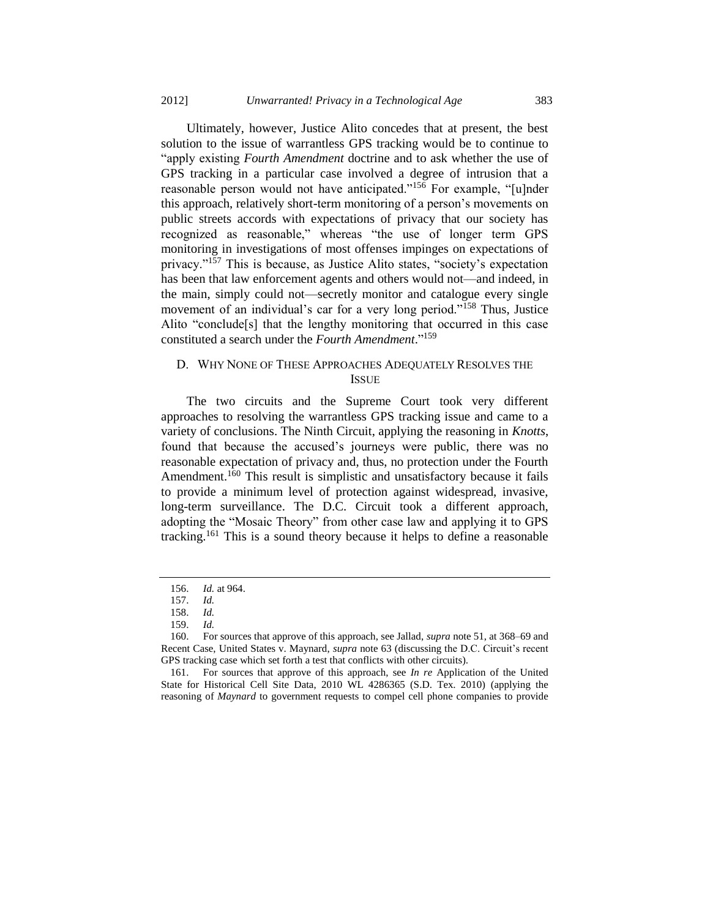Ultimately, however, Justice Alito concedes that at present, the best solution to the issue of warrantless GPS tracking would be to continue to "apply existing *Fourth Amendment* doctrine and to ask whether the use of GPS tracking in a particular case involved a degree of intrusion that a reasonable person would not have anticipated."<sup>156</sup> For example, "[u]nder this approach, relatively short-term monitoring of a person's movements on public streets accords with expectations of privacy that our society has recognized as reasonable," whereas "the use of longer term GPS monitoring in investigations of most offenses impinges on expectations of privacy."<sup>157</sup> This is because, as Justice Alito states, "society's expectation has been that law enforcement agents and others would not—and indeed, in the main, simply could not—secretly monitor and catalogue every single movement of an individual's car for a very long period."<sup>158</sup> Thus, Justice Alito "conclude[s] that the lengthy monitoring that occurred in this case constituted a search under the *Fourth Amendment*." 159

# D. WHY NONE OF THESE APPROACHES ADEQUATELY RESOLVES THE ISSUE

The two circuits and the Supreme Court took very different approaches to resolving the warrantless GPS tracking issue and came to a variety of conclusions. The Ninth Circuit, applying the reasoning in *Knotts*, found that because the accused's journeys were public, there was no reasonable expectation of privacy and, thus, no protection under the Fourth Amendment.<sup>160</sup> This result is simplistic and unsatisfactory because it fails to provide a minimum level of protection against widespread, invasive, long-term surveillance. The D.C. Circuit took a different approach, adopting the "Mosaic Theory" from other case law and applying it to GPS tracking.<sup>161</sup> This is a sound theory because it helps to define a reasonable

<sup>156.</sup> *Id.* at 964.

<sup>157.</sup> *Id.*

<sup>158.</sup> *Id.*

<sup>159.</sup> *Id.*

<sup>160.</sup> For sources that approve of this approach, see Jallad, *supra* not[e 51,](#page-9-0) at 368–69 and Recent Case, United States v. Maynard, *supra* not[e 63](#page-11-0) (discussing the D.C. Circuit's recent GPS tracking case which set forth a test that conflicts with other circuits).

<sup>161.</sup> For sources that approve of this approach, see *In re* Application of the United State for Historical Cell Site Data, 2010 WL 4286365 (S.D. Tex. 2010) (applying the reasoning of *Maynard* to government requests to compel cell phone companies to provide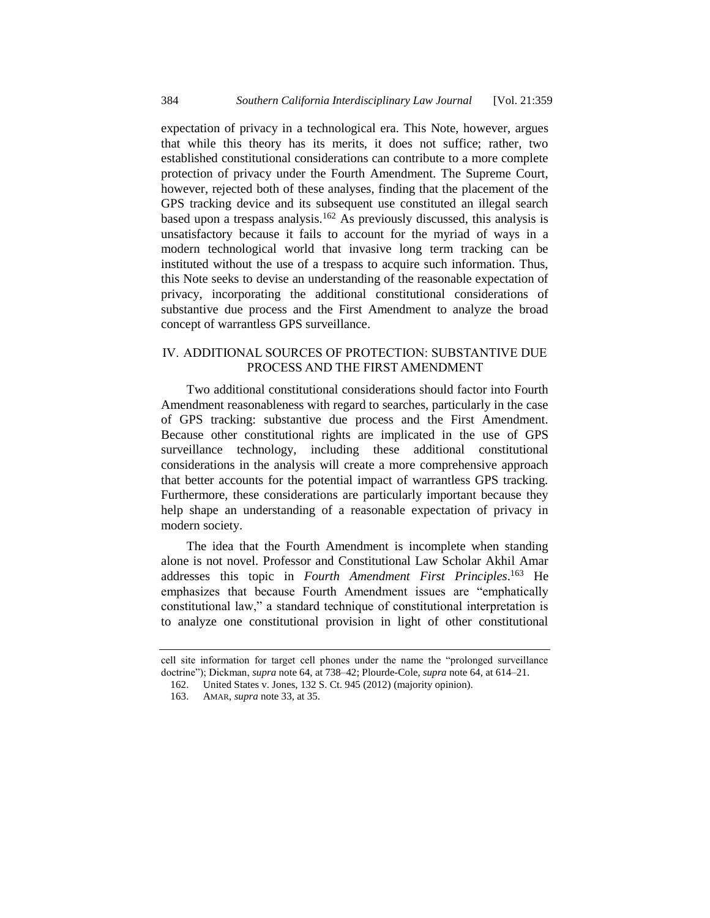expectation of privacy in a technological era. This Note, however, argues that while this theory has its merits, it does not suffice; rather, two established constitutional considerations can contribute to a more complete protection of privacy under the Fourth Amendment. The Supreme Court, however, rejected both of these analyses, finding that the placement of the GPS tracking device and its subsequent use constituted an illegal search based upon a trespass analysis.<sup>162</sup> As previously discussed, this analysis is unsatisfactory because it fails to account for the myriad of ways in a modern technological world that invasive long term tracking can be instituted without the use of a trespass to acquire such information. Thus, this Note seeks to devise an understanding of the reasonable expectation of privacy, incorporating the additional constitutional considerations of substantive due process and the First Amendment to analyze the broad concept of warrantless GPS surveillance.

# IV. ADDITIONAL SOURCES OF PROTECTION: SUBSTANTIVE DUE PROCESS AND THE FIRST AMENDMENT

Two additional constitutional considerations should factor into Fourth Amendment reasonableness with regard to searches, particularly in the case of GPS tracking: substantive due process and the First Amendment. Because other constitutional rights are implicated in the use of GPS surveillance technology, including these additional constitutional considerations in the analysis will create a more comprehensive approach that better accounts for the potential impact of warrantless GPS tracking. Furthermore, these considerations are particularly important because they help shape an understanding of a reasonable expectation of privacy in modern society.

The idea that the Fourth Amendment is incomplete when standing alone is not novel. Professor and Constitutional Law Scholar Akhil Amar addresses this topic in *Fourth Amendment First Principles*. <sup>163</sup> He emphasizes that because Fourth Amendment issues are "emphatically constitutional law," a standard technique of constitutional interpretation is to analyze one constitutional provision in light of other constitutional

cell site information for target cell phones under the name the "prolonged surveillance doctrine"); Dickman, *supra* not[e 64,](#page-12-0) at 738–42; Plourde-Cole, *supra* not[e 64,](#page-12-0) at 614–21.

<sup>162.</sup> United States v. Jones, 132 S. Ct. 945 (2012) (majority opinion).

<sup>163.</sup> AMAR, *supra* not[e 33,](#page-6-0) at 35.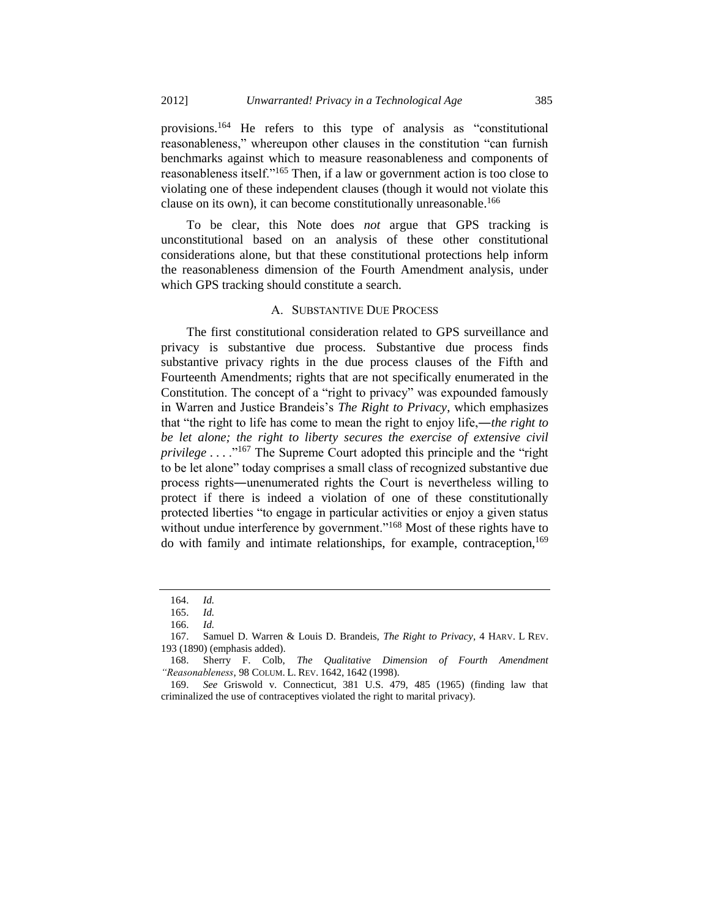provisions.<sup>164</sup> He refers to this type of analysis as "constitutional reasonableness," whereupon other clauses in the constitution "can furnish benchmarks against which to measure reasonableness and components of reasonableness itself."<sup>165</sup> Then, if a law or government action is too close to violating one of these independent clauses (though it would not violate this clause on its own), it can become constitutionally unreasonable.<sup>166</sup>

To be clear, this Note does *not* argue that GPS tracking is unconstitutional based on an analysis of these other constitutional considerations alone, but that these constitutional protections help inform the reasonableness dimension of the Fourth Amendment analysis, under which GPS tracking should constitute a search.

#### A. SUBSTANTIVE DUE PROCESS

The first constitutional consideration related to GPS surveillance and privacy is substantive due process. Substantive due process finds substantive privacy rights in the due process clauses of the Fifth and Fourteenth Amendments; rights that are not specifically enumerated in the Constitution. The concept of a "right to privacy" was expounded famously in Warren and Justice Brandeis's *The Right to Privacy*, which emphasizes that "the right to life has come to mean the right to enjoy life,―*the right to*  be let alone; the right to liberty secures the exercise of extensive civil *privilege* . . . . .<sup>"167</sup> The Supreme Court adopted this principle and the "right" to be let alone" today comprises a small class of recognized substantive due process rights―unenumerated rights the Court is nevertheless willing to protect if there is indeed a violation of one of these constitutionally protected liberties "to engage in particular activities or enjoy a given status without undue interference by government."<sup>168</sup> Most of these rights have to do with family and intimate relationships, for example, contraception,<sup>169</sup>

<span id="page-26-0"></span><sup>164.</sup> *Id.*

<sup>165.</sup> *Id.*

<sup>166.</sup> *Id.*

<sup>167.</sup> Samuel D. Warren & Louis D. Brandeis, *The Right to Privacy*, 4 HARV. L REV. 193 (1890) (emphasis added).

<sup>168.</sup> Sherry F. Colb, *The Qualitative Dimension of Fourth Amendment "Reasonableness*, 98 COLUM. L. REV. 1642, 1642 (1998).

<sup>169.</sup> *See* Griswold v. Connecticut, 381 U.S. 479, 485 (1965) (finding law that criminalized the use of contraceptives violated the right to marital privacy).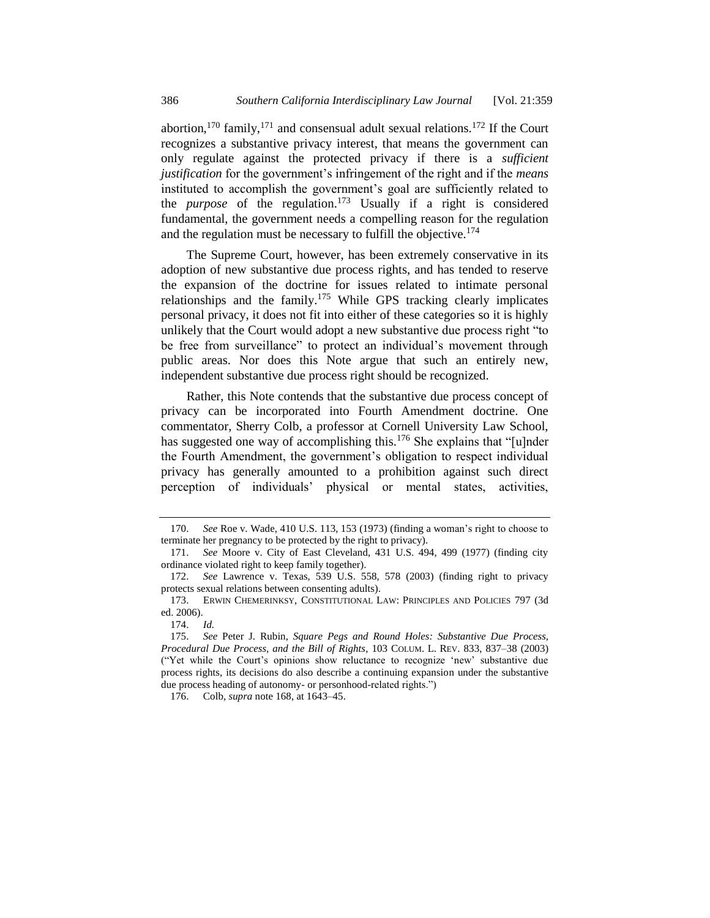abortion,<sup>170</sup> family,<sup>171</sup> and consensual adult sexual relations.<sup>172</sup> If the Court recognizes a substantive privacy interest, that means the government can only regulate against the protected privacy if there is a *sufficient justification* for the government's infringement of the right and if the *means* instituted to accomplish the government's goal are sufficiently related to the *purpose* of the regulation.<sup>173</sup> Usually if a right is considered fundamental, the government needs a compelling reason for the regulation and the regulation must be necessary to fulfill the objective.<sup>174</sup>

<span id="page-27-0"></span>The Supreme Court, however, has been extremely conservative in its adoption of new substantive due process rights, and has tended to reserve the expansion of the doctrine for issues related to intimate personal relationships and the family.<sup>175</sup> While GPS tracking clearly implicates personal privacy, it does not fit into either of these categories so it is highly unlikely that the Court would adopt a new substantive due process right "to be free from surveillance" to protect an individual's movement through public areas. Nor does this Note argue that such an entirely new, independent substantive due process right should be recognized.

Rather, this Note contends that the substantive due process concept of privacy can be incorporated into Fourth Amendment doctrine. One commentator, Sherry Colb, a professor at Cornell University Law School, has suggested one way of accomplishing this.<sup>176</sup> She explains that "[u]nder the Fourth Amendment, the government's obligation to respect individual privacy has generally amounted to a prohibition against such direct perception of individuals' physical or mental states, activities,

<sup>170.</sup> *See* Roe v. Wade, 410 U.S. 113, 153 (1973) (finding a woman's right to choose to terminate her pregnancy to be protected by the right to privacy).

<sup>171.</sup> *See* Moore v. City of East Cleveland, 431 U.S. 494, 499 (1977) (finding city ordinance violated right to keep family together).

<sup>172.</sup> *See* Lawrence v. Texas, 539 U.S. 558, 578 (2003) (finding right to privacy protects sexual relations between consenting adults).

<sup>173.</sup> ERWIN CHEMERINKSY, CONSTITUTIONAL LAW: PRINCIPLES AND POLICIES 797 (3d ed. 2006).

<sup>174.</sup> *Id.*

<sup>175.</sup> *See* Peter J. Rubin, *Square Pegs and Round Holes: Substantive Due Process, Procedural Due Process, and the Bill of Rights*, 103 COLUM. L. REV. 833, 837–38 (2003) ("Yet while the Court's opinions show reluctance to recognize 'new' substantive due process rights, its decisions do also describe a continuing expansion under the substantive due process heading of autonomy- or personhood-related rights.")

<sup>176.</sup> Colb, *supra* not[e 168,](#page-26-0) at 1643–45.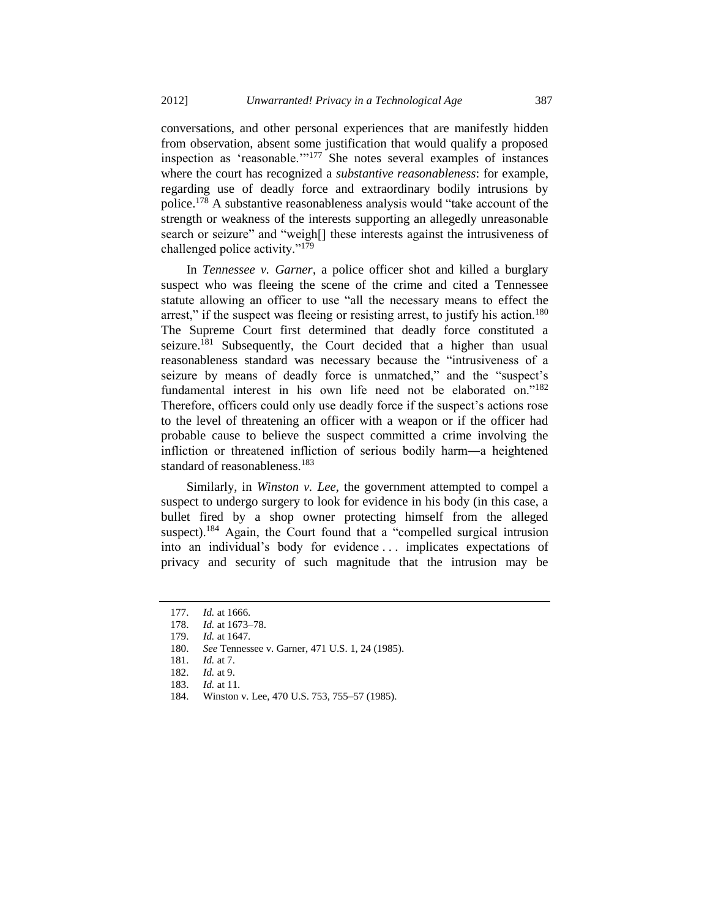conversations, and other personal experiences that are manifestly hidden from observation, absent some justification that would qualify a proposed inspection as 'reasonable.'"<sup>177</sup> She notes several examples of instances where the court has recognized a *substantive reasonableness*: for example, regarding use of deadly force and extraordinary bodily intrusions by police.<sup>178</sup> A substantive reasonableness analysis would "take account of the strength or weakness of the interests supporting an allegedly unreasonable search or seizure" and "weigh[] these interests against the intrusiveness of challenged police activity."<sup>179</sup>

In *Tennessee v. Garner*, a police officer shot and killed a burglary suspect who was fleeing the scene of the crime and cited a Tennessee statute allowing an officer to use "all the necessary means to effect the arrest," if the suspect was fleeing or resisting arrest, to justify his action.<sup>180</sup> The Supreme Court first determined that deadly force constituted a seizure.<sup>181</sup> Subsequently, the Court decided that a higher than usual reasonableness standard was necessary because the "intrusiveness of a seizure by means of deadly force is unmatched," and the "suspect's fundamental interest in his own life need not be elaborated on."<sup>182</sup> Therefore, officers could only use deadly force if the suspect's actions rose to the level of threatening an officer with a weapon or if the officer had probable cause to believe the suspect committed a crime involving the infliction or threatened infliction of serious bodily harm―a heightened standard of reasonableness.<sup>183</sup>

Similarly, in *Winston v. Lee*, the government attempted to compel a suspect to undergo surgery to look for evidence in his body (in this case, a bullet fired by a shop owner protecting himself from the alleged suspect).<sup>184</sup> Again, the Court found that a "compelled surgical intrusion into an individual's body for evidence . . . implicates expectations of privacy and security of such magnitude that the intrusion may be

<sup>177.</sup> *Id.* at 1666. 178. *Id.* at 1673–78.

<sup>179.</sup> *Id.* at 1647.

<sup>180.</sup> *See* Tennessee v. Garner, 471 U.S. 1, 24 (1985).

<sup>181.</sup> *Id.* at 7.

<sup>182.</sup> *Id.* at 9.<br>183. *Id.* at 11

*Id.* at 11.

<sup>184.</sup> Winston v. Lee, 470 U.S. 753, 755–57 (1985).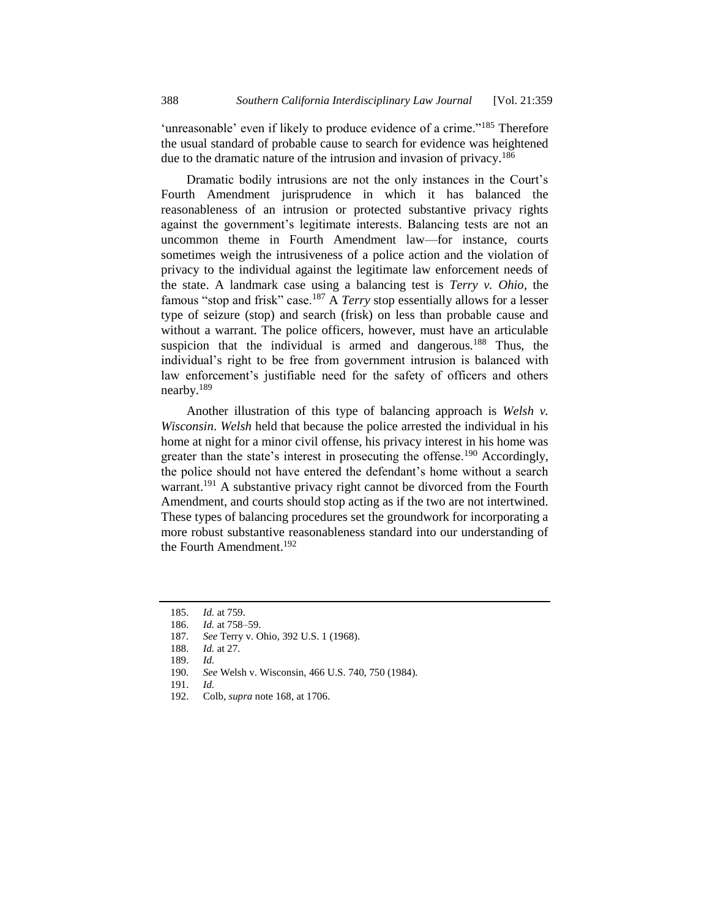'unreasonable' even if likely to produce evidence of a crime."<sup>185</sup> Therefore the usual standard of probable cause to search for evidence was heightened due to the dramatic nature of the intrusion and invasion of privacy.<sup>186</sup>

Dramatic bodily intrusions are not the only instances in the Court's Fourth Amendment jurisprudence in which it has balanced the reasonableness of an intrusion or protected substantive privacy rights against the government's legitimate interests. Balancing tests are not an uncommon theme in Fourth Amendment law—for instance, courts sometimes weigh the intrusiveness of a police action and the violation of privacy to the individual against the legitimate law enforcement needs of the state. A landmark case using a balancing test is *Terry v. Ohio*, the famous "stop and frisk" case.<sup>187</sup> A *Terry* stop essentially allows for a lesser type of seizure (stop) and search (frisk) on less than probable cause and without a warrant. The police officers, however, must have an articulable suspicion that the individual is armed and dangerous.<sup>188</sup> Thus, the individual's right to be free from government intrusion is balanced with law enforcement's justifiable need for the safety of officers and others nearby.<sup>189</sup>

Another illustration of this type of balancing approach is *Welsh v. Wisconsin*. *Welsh* held that because the police arrested the individual in his home at night for a minor civil offense, his privacy interest in his home was greater than the state's interest in prosecuting the offense.<sup>190</sup> Accordingly, the police should not have entered the defendant's home without a search warrant.<sup>191</sup> A substantive privacy right cannot be divorced from the Fourth Amendment, and courts should stop acting as if the two are not intertwined. These types of balancing procedures set the groundwork for incorporating a more robust substantive reasonableness standard into our understanding of the Fourth Amendment.<sup>192</sup>

<sup>185.</sup> *Id.* at 759.

<sup>186.</sup> *Id.* at 758–59.

<sup>187</sup>*. See* Terry v. Ohio, 392 U.S. 1 (1968).

<sup>188.</sup> *Id.* at 27.

<sup>189.</sup> *Id.*

<sup>190</sup>*. See* Welsh v. Wisconsin, 466 U.S. 740, 750 (1984).

<sup>191.</sup> *Id.*

<sup>192.</sup> Colb, *supra* not[e 168,](#page-26-0) at 1706.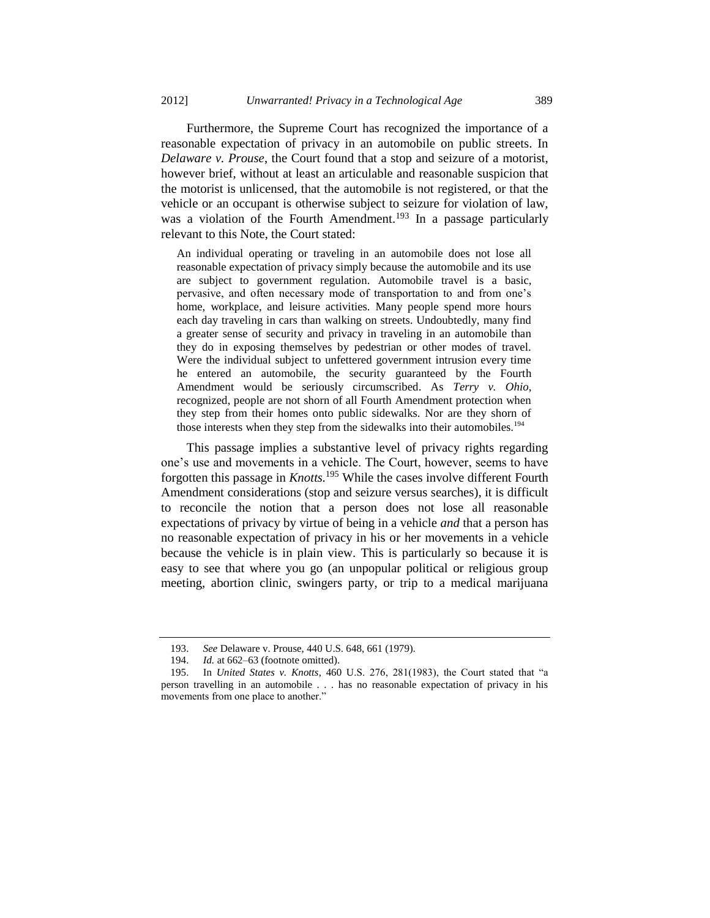Furthermore, the Supreme Court has recognized the importance of a reasonable expectation of privacy in an automobile on public streets. In *Delaware v. Prouse*, the Court found that a stop and seizure of a motorist, however brief, without at least an articulable and reasonable suspicion that the motorist is unlicensed, that the automobile is not registered, or that the vehicle or an occupant is otherwise subject to seizure for violation of law, was a violation of the Fourth Amendment.<sup>193</sup> In a passage particularly relevant to this Note, the Court stated:

An individual operating or traveling in an automobile does not lose all reasonable expectation of privacy simply because the automobile and its use are subject to government regulation. Automobile travel is a basic, pervasive, and often necessary mode of transportation to and from one's home, workplace, and leisure activities. Many people spend more hours each day traveling in cars than walking on streets. Undoubtedly, many find a greater sense of security and privacy in traveling in an automobile than they do in exposing themselves by pedestrian or other modes of travel. Were the individual subject to unfettered government intrusion every time he entered an automobile, the security guaranteed by the Fourth Amendment would be seriously circumscribed. As *Terry v. Ohio,* recognized, people are not shorn of all Fourth Amendment protection when they step from their homes onto public sidewalks. Nor are they shorn of those interests when they step from the sidewalks into their automobiles.<sup>194</sup>

This passage implies a substantive level of privacy rights regarding one's use and movements in a vehicle. The Court, however, seems to have forgotten this passage in *Knotts.*<sup>195</sup> While the cases involve different Fourth Amendment considerations (stop and seizure versus searches), it is difficult to reconcile the notion that a person does not lose all reasonable expectations of privacy by virtue of being in a vehicle *and* that a person has no reasonable expectation of privacy in his or her movements in a vehicle because the vehicle is in plain view. This is particularly so because it is easy to see that where you go (an unpopular political or religious group meeting, abortion clinic, swingers party, or trip to a medical marijuana

<sup>193.</sup> *See* Delaware v. Prouse, 440 U.S. 648, 661 (1979).

<sup>194.</sup> *Id.* at 662–63 (footnote omitted).

<sup>195.</sup> In *United States v. Knotts*, 460 U.S. 276, 281(1983), the Court stated that "a person travelling in an automobile . . . has no reasonable expectation of privacy in his movements from one place to another."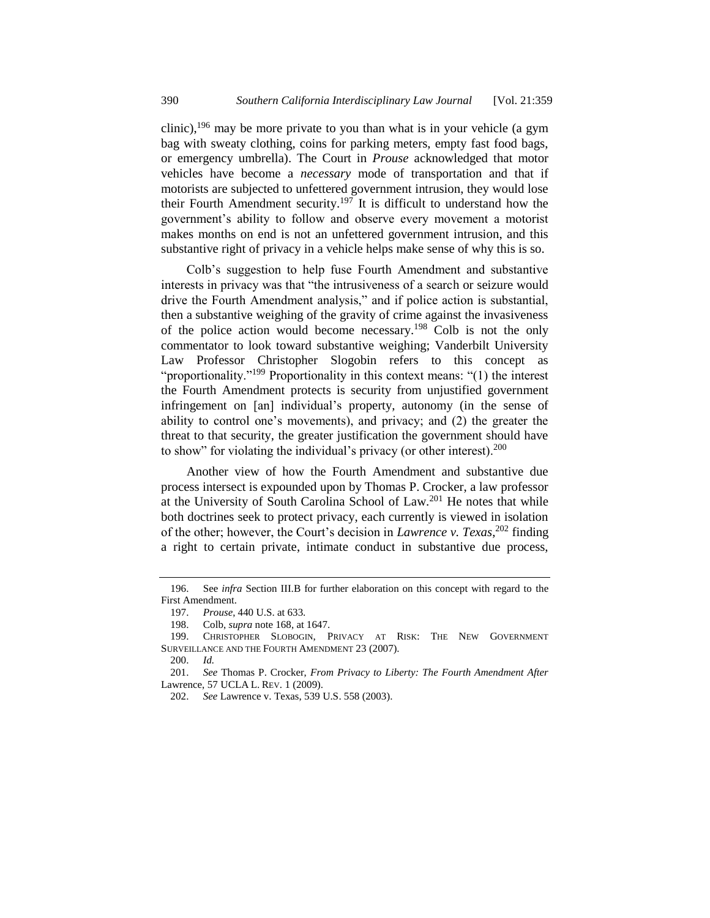clinic),<sup>196</sup> may be more private to you than what is in your vehicle (a gym bag with sweaty clothing, coins for parking meters, empty fast food bags, or emergency umbrella). The Court in *Prouse* acknowledged that motor vehicles have become a *necessary* mode of transportation and that if motorists are subjected to unfettered government intrusion, they would lose their Fourth Amendment security.<sup>197</sup> It is difficult to understand how the government's ability to follow and observe every movement a motorist makes months on end is not an unfettered government intrusion, and this substantive right of privacy in a vehicle helps make sense of why this is so.

Colb's suggestion to help fuse Fourth Amendment and substantive interests in privacy was that "the intrusiveness of a search or seizure would drive the Fourth Amendment analysis," and if police action is substantial, then a substantive weighing of the gravity of crime against the invasiveness of the police action would become necessary.<sup>198</sup> Colb is not the only commentator to look toward substantive weighing; Vanderbilt University Law Professor Christopher Slogobin refers to this concept as "proportionality."<sup>199</sup> Proportionality in this context means: "(1) the interest the Fourth Amendment protects is security from unjustified government infringement on [an] individual's property, autonomy (in the sense of ability to control one's movements), and privacy; and (2) the greater the threat to that security, the greater justification the government should have to show" for violating the individual's privacy (or other interest).  $200$ 

<span id="page-31-1"></span><span id="page-31-0"></span>Another view of how the Fourth Amendment and substantive due process intersect is expounded upon by Thomas P. Crocker, a law professor at the University of South Carolina School of Law.<sup>201</sup> He notes that while both doctrines seek to protect privacy, each currently is viewed in isolation of the other; however, the Court's decision in *Lawrence v. Texas*, <sup>202</sup> finding a right to certain private, intimate conduct in substantive due process,

<sup>196.</sup> See *infra* Section III.B for further elaboration on this concept with regard to the First Amendment.

<sup>197.</sup> *Prouse*, 440 U.S. at 633.

<sup>198.</sup> Colb, *supra* not[e 168,](#page-26-0) at 1647.

<sup>199.</sup> CHRISTOPHER SLOBOGIN, PRIVACY AT RISK: THE NEW GOVERNMENT SURVEILLANCE AND THE FOURTH AMENDMENT 23 (2007).

<sup>200.</sup> *Id.*

<sup>201.</sup> *See* Thomas P. Crocker, *From Privacy to Liberty: The Fourth Amendment After* Lawrence, 57 UCLA L. REV. 1 (2009).

<sup>202.</sup> *See* Lawrence v. Texas, 539 U.S. 558 (2003).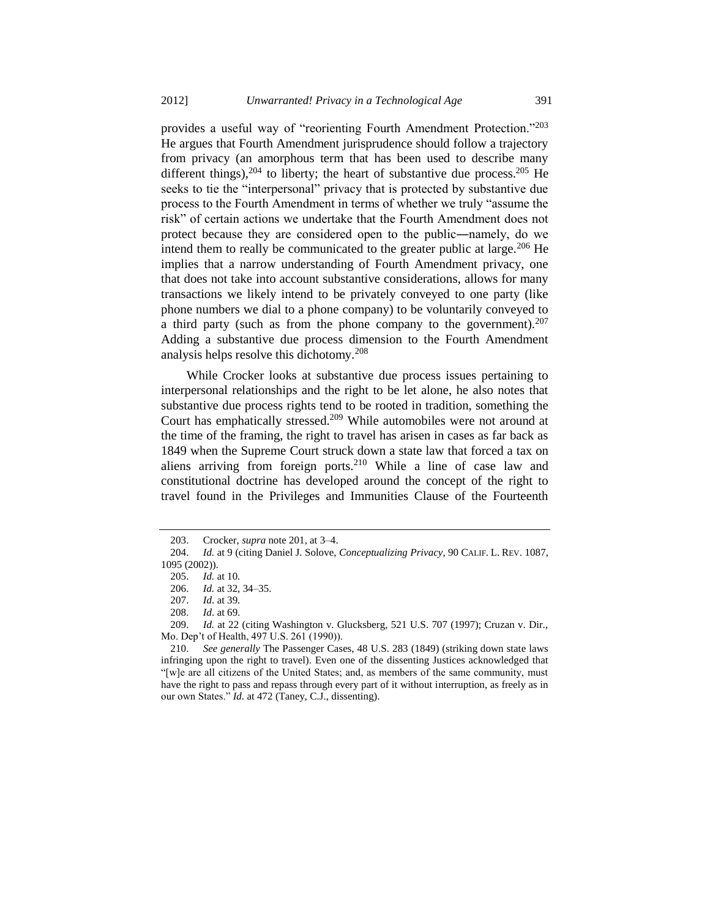provides a useful way of "reorienting Fourth Amendment Protection."<sup>203</sup> He argues that Fourth Amendment jurisprudence should follow a trajectory from privacy (an amorphous term that has been used to describe many different things),  $204$  to liberty; the heart of substantive due process.  $205$  He seeks to tie the "interpersonal" privacy that is protected by substantive due process to the Fourth Amendment in terms of whether we truly "assume the risk" of certain actions we undertake that the Fourth Amendment does not protect because they are considered open to the public―namely, do we intend them to really be communicated to the greater public at large. $206$  He implies that a narrow understanding of Fourth Amendment privacy, one that does not take into account substantive considerations, allows for many transactions we likely intend to be privately conveyed to one party (like phone numbers we dial to a phone company) to be voluntarily conveyed to a third party (such as from the phone company to the government).  $207$ Adding a substantive due process dimension to the Fourth Amendment analysis helps resolve this dichotomy.<sup>208</sup>

While Crocker looks at substantive due process issues pertaining to interpersonal relationships and the right to be let alone, he also notes that substantive due process rights tend to be rooted in tradition, something the Court has emphatically stressed.<sup>209</sup> While automobiles were not around at the time of the framing, the right to travel has arisen in cases as far back as 1849 when the Supreme Court struck down a state law that forced a tax on aliens arriving from foreign ports.<sup>210</sup> While a line of case law and constitutional doctrine has developed around the concept of the right to travel found in the Privileges and Immunities Clause of the Fourteenth

<sup>203.</sup> Crocker, *supra* not[e 201,](#page-31-0) at 3–4.

<sup>204.</sup> *Id.* at 9 (citing Daniel J. Solove, *Conceptualizing Privacy*, 90 CALIF. L. REV. 1087, 1095 (2002)).

<sup>205.</sup> *Id.* at 10.

<sup>206.</sup> *Id.* at 32, 34–35.

<sup>207.</sup> *Id*. at 39.

<sup>208.</sup> *Id*. at 69.

<sup>209.</sup> *Id.* at 22 (citing Washington v. Glucksberg, 521 U.S. 707 (1997); Cruzan v. Dir., Mo. Dep't of Health, 497 U.S. 261 (1990)).

<sup>210.</sup> *See generally* The Passenger Cases, 48 U.S. 283 (1849) (striking down state laws infringing upon the right to travel). Even one of the dissenting Justices acknowledged that "[w]e are all citizens of the United States; and, as members of the same community, must have the right to pass and repass through every part of it without interruption, as freely as in our own States." *Id.* at 472 (Taney, C.J., dissenting).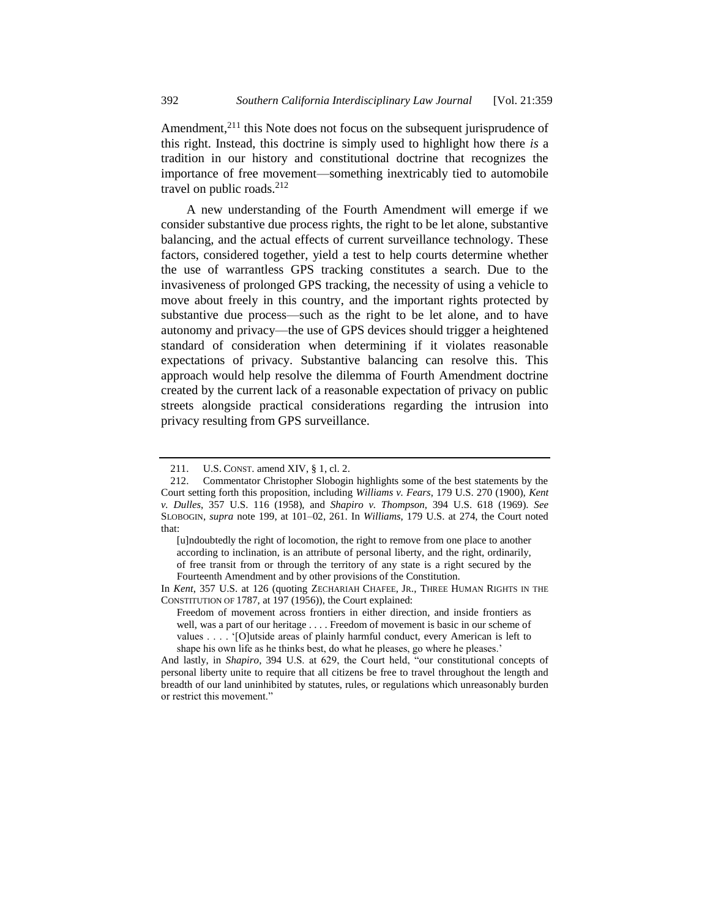Amendment,<sup>211</sup> this Note does not focus on the subsequent jurisprudence of this right. Instead, this doctrine is simply used to highlight how there *is* a tradition in our history and constitutional doctrine that recognizes the importance of free movement—something inextricably tied to automobile travel on public roads.<sup>212</sup>

A new understanding of the Fourth Amendment will emerge if we consider substantive due process rights, the right to be let alone, substantive balancing, and the actual effects of current surveillance technology. These factors, considered together, yield a test to help courts determine whether the use of warrantless GPS tracking constitutes a search. Due to the invasiveness of prolonged GPS tracking, the necessity of using a vehicle to move about freely in this country, and the important rights protected by substantive due process—such as the right to be let alone, and to have autonomy and privacy—the use of GPS devices should trigger a heightened standard of consideration when determining if it violates reasonable expectations of privacy. Substantive balancing can resolve this. This approach would help resolve the dilemma of Fourth Amendment doctrine created by the current lack of a reasonable expectation of privacy on public streets alongside practical considerations regarding the intrusion into privacy resulting from GPS surveillance.

<sup>211.</sup> U.S. CONST. amend XIV, § 1, cl. 2.

<sup>212.</sup> Commentator Christopher Slobogin highlights some of the best statements by the Court setting forth this proposition, including *Williams v. Fears*, 179 U.S. 270 (1900), *Kent v. Dulles*, 357 U.S. 116 (1958), and *Shapiro v. Thompson*, 394 U.S. 618 (1969). *See*  SLOBOGIN, *supra* note [199,](#page-31-1) at 101–02, 261. In *Williams*, 179 U.S. at 274, the Court noted that:

<sup>[</sup>u]ndoubtedly the right of locomotion, the right to remove from one place to another according to inclination, is an attribute of personal liberty, and the right, ordinarily, of free transit from or through the territory of any state is a right secured by the Fourteenth Amendment and by other provisions of the Constitution.

In *Kent*, 357 U.S. at 126 (quoting ZECHARIAH CHAFEE, JR., THREE HUMAN RIGHTS IN THE CONSTITUTION OF 1787, at 197 (1956)), the Court explained:

Freedom of movement across frontiers in either direction, and inside frontiers as well, was a part of our heritage . . . . Freedom of movement is basic in our scheme of values . . . . '[O]utside areas of plainly harmful conduct, every American is left to shape his own life as he thinks best, do what he pleases, go where he pleases.'

And lastly, in *Shapiro*, 394 U.S. at 629, the Court held, "our constitutional concepts of personal liberty unite to require that all citizens be free to travel throughout the length and breadth of our land uninhibited by statutes, rules, or regulations which unreasonably burden or restrict this movement."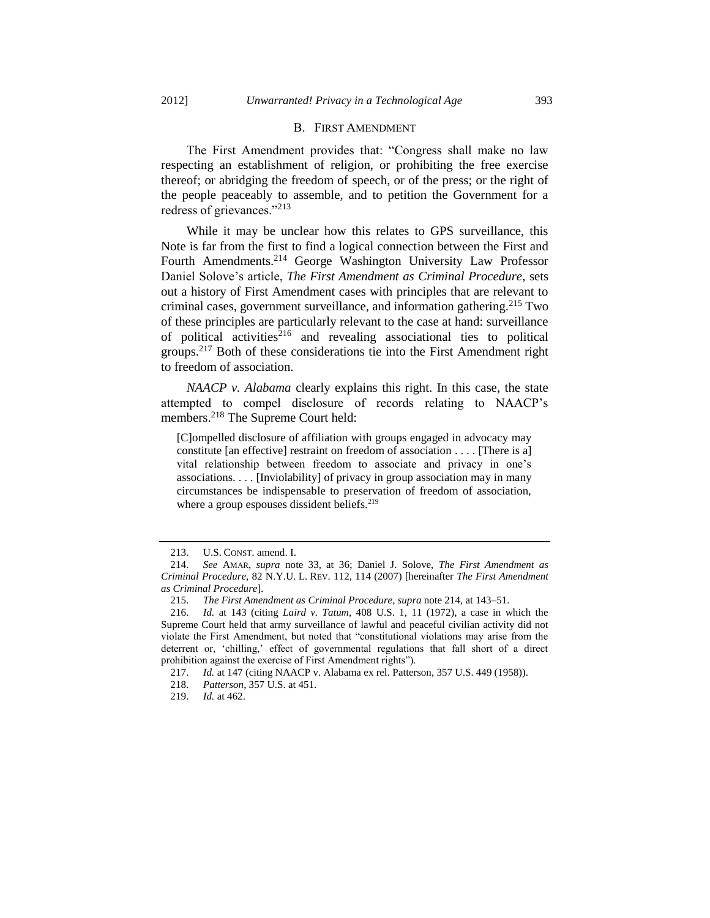#### B. FIRST AMENDMENT

The First Amendment provides that: "Congress shall make no law respecting an establishment of religion, or prohibiting the free exercise thereof; or abridging the freedom of speech, or of the press; or the right of the people peaceably to assemble, and to petition the Government for a redress of grievances."<sup>213</sup>

<span id="page-34-0"></span>While it may be unclear how this relates to GPS surveillance, this Note is far from the first to find a logical connection between the First and Fourth Amendments.<sup>214</sup> George Washington University Law Professor Daniel Solove's article, *The First Amendment as Criminal Procedure*, sets out a history of First Amendment cases with principles that are relevant to criminal cases, government surveillance, and information gathering.<sup>215</sup> Two of these principles are particularly relevant to the case at hand: surveillance of political activities<sup> $216$ </sup> and revealing associational ties to political groups.<sup>217</sup> Both of these considerations tie into the First Amendment right to freedom of association.

*NAACP v. Alabama* clearly explains this right. In this case, the state attempted to compel disclosure of records relating to NAACP's members.<sup>218</sup> The Supreme Court held:

[C]ompelled disclosure of affiliation with groups engaged in advocacy may constitute [an effective] restraint on freedom of association . . . . [There is a] vital relationship between freedom to associate and privacy in one's associations. . . . [Inviolability] of privacy in group association may in many circumstances be indispensable to preservation of freedom of association, where a group espouses dissident beliefs.<sup>219</sup>

<sup>213.</sup> U.S. CONST. amend. I.

<sup>214.</sup> *See* AMAR, *supra* note [33,](#page-6-0) at 36; Daniel J. Solove, *The First Amendment as Criminal Procedure*, 82 N.Y.U. L. REV. 112, 114 (2007) [hereinafter *The First Amendment as Criminal Procedure*].

<sup>215.</sup> *The First Amendment as Criminal Procedure*, *supra* not[e 214,](#page-34-0) at 143–51.

<sup>216.</sup> *Id.* at 143 (citing *Laird v. Tatum*, 408 U.S. 1, 11 (1972), a case in which the Supreme Court held that army surveillance of lawful and peaceful civilian activity did not violate the First Amendment, but noted that "constitutional violations may arise from the deterrent or, 'chilling,' effect of governmental regulations that fall short of a direct prohibition against the exercise of First Amendment rights").

<sup>217.</sup> *Id.* at 147 (citing NAACP v. Alabama ex rel. Patterson, 357 U.S. 449 (1958)).

<sup>218.</sup> *Patterson*, 357 U.S. at 451.

<sup>219.</sup> *Id.* at 462.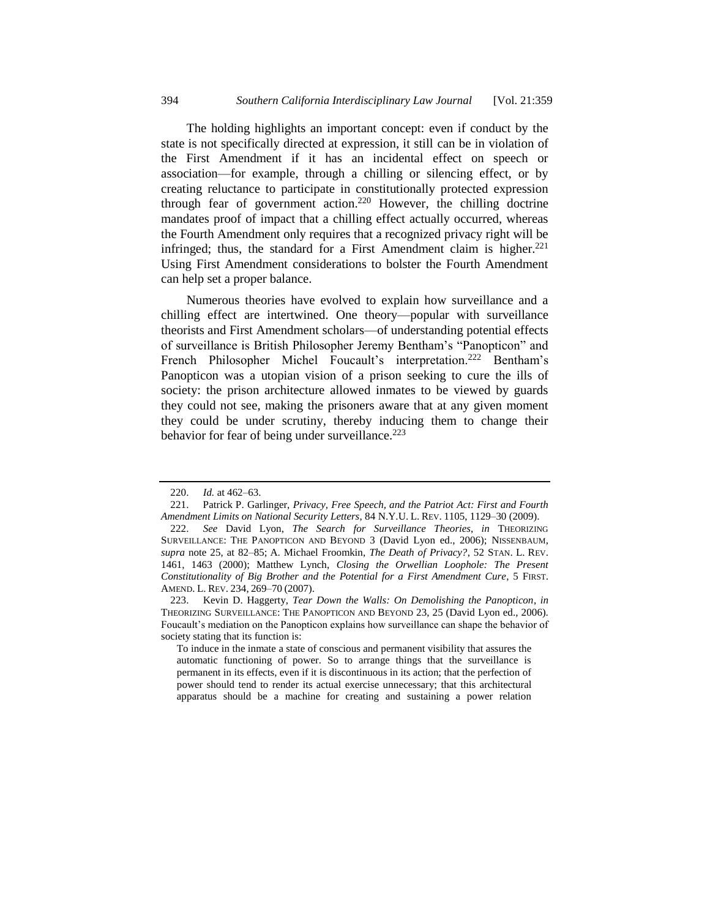The holding highlights an important concept: even if conduct by the state is not specifically directed at expression, it still can be in violation of the First Amendment if it has an incidental effect on speech or association—for example, through a chilling or silencing effect, or by creating reluctance to participate in constitutionally protected expression through fear of government action.<sup>220</sup> However, the chilling doctrine mandates proof of impact that a chilling effect actually occurred, whereas the Fourth Amendment only requires that a recognized privacy right will be infringed; thus, the standard for a First Amendment claim is higher. $221$ Using First Amendment considerations to bolster the Fourth Amendment can help set a proper balance.

<span id="page-35-2"></span><span id="page-35-1"></span>Numerous theories have evolved to explain how surveillance and a chilling effect are intertwined. One theory—popular with surveillance theorists and First Amendment scholars—of understanding potential effects of surveillance is British Philosopher Jeremy Bentham's "Panopticon" and French Philosopher Michel Foucault's interpretation.<sup>222</sup> Bentham's Panopticon was a utopian vision of a prison seeking to cure the ills of society: the prison architecture allowed inmates to be viewed by guards they could not see, making the prisoners aware that at any given moment they could be under scrutiny, thereby inducing them to change their behavior for fear of being under surveillance. $223$ 

<span id="page-35-0"></span><sup>220.</sup> *Id.* at 462–63.

<sup>221.</sup> Patrick P. Garlinger, *Privacy, Free Speech, and the Patriot Act: First and Fourth Amendment Limits on National Security Letters*, 84 N.Y.U. L. REV. 1105, 1129–30 (2009).

<sup>222.</sup> *See* David Lyon, *The Search for Surveillance Theories*, *in* THEORIZING SURVEILLANCE: THE PANOPTICON AND BEYOND 3 (David Lyon ed., 2006); NISSENBAUM, *supra* note [25,](#page-4-1) at 82–85; A. Michael Froomkin, *The Death of Privacy?*, 52 STAN. L. REV. 1461, 1463 (2000); Matthew Lynch, *Closing the Orwellian Loophole: The Present Constitutionality of Big Brother and the Potential for a First Amendment Cure*, 5 FIRST. AMEND. L. REV. 234, 269–70 (2007).

<sup>223.</sup> Kevin D. Haggerty, *Tear Down the Walls: On Demolishing the Panopticon*, *in*  THEORIZING SURVEILLANCE: THE PANOPTICON AND BEYOND 23, 25 (David Lyon ed., 2006). Foucault's mediation on the Panopticon explains how surveillance can shape the behavior of society stating that its function is:

To induce in the inmate a state of conscious and permanent visibility that assures the automatic functioning of power. So to arrange things that the surveillance is permanent in its effects, even if it is discontinuous in its action; that the perfection of power should tend to render its actual exercise unnecessary; that this architectural apparatus should be a machine for creating and sustaining a power relation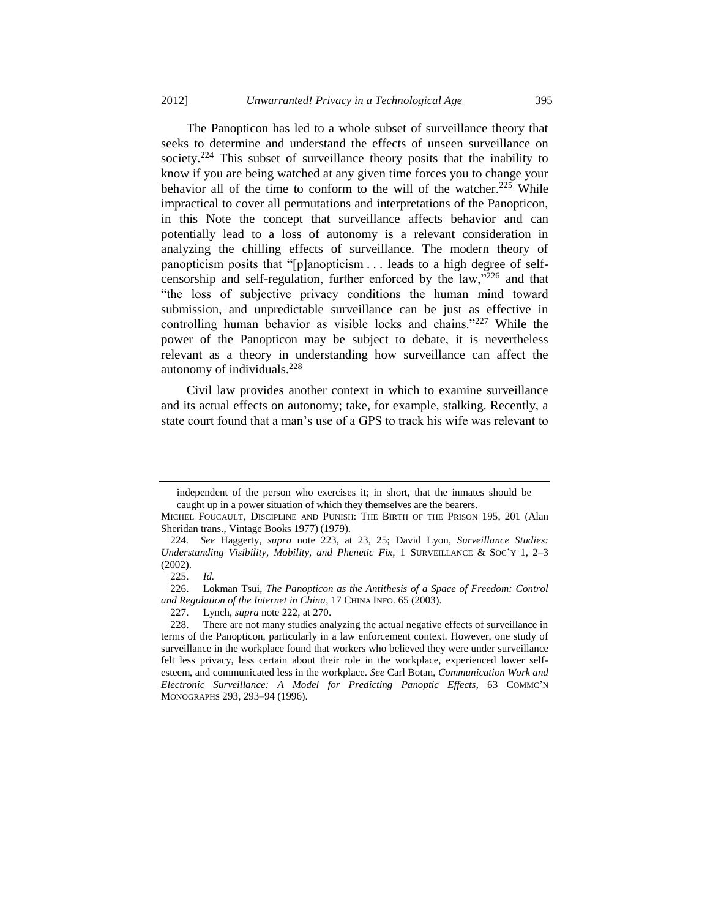The Panopticon has led to a whole subset of surveillance theory that seeks to determine and understand the effects of unseen surveillance on society.<sup>224</sup> This subset of surveillance theory posits that the inability to know if you are being watched at any given time forces you to change your behavior all of the time to conform to the will of the watcher.<sup>225</sup> While impractical to cover all permutations and interpretations of the Panopticon, in this Note the concept that surveillance affects behavior and can potentially lead to a loss of autonomy is a relevant consideration in analyzing the chilling effects of surveillance. The modern theory of panopticism posits that "[p]anopticism . . . leads to a high degree of selfcensorship and self-regulation, further enforced by the law,"<sup>226</sup> and that "the loss of subjective privacy conditions the human mind toward submission, and unpredictable surveillance can be just as effective in controlling human behavior as visible locks and chains."<sup>227</sup> While the power of the Panopticon may be subject to debate, it is nevertheless relevant as a theory in understanding how surveillance can affect the autonomy of individuals.<sup>228</sup>

<span id="page-36-0"></span>Civil law provides another context in which to examine surveillance and its actual effects on autonomy; take, for example, stalking. Recently, a state court found that a man's use of a GPS to track his wife was relevant to

independent of the person who exercises it; in short, that the inmates should be caught up in a power situation of which they themselves are the bearers.

MICHEL FOUCAULT, DISCIPLINE AND PUNISH: THE BIRTH OF THE PRISON 195, 201 (Alan Sheridan trans., Vintage Books 1977) (1979).

<sup>224</sup>*. See* Haggerty, *supra* note [223,](#page-35-0) at 23, 25; David Lyon, *Surveillance Studies: Understanding Visibility, Mobility, and Phenetic Fix,* 1 SURVEILLANCE & SOC'Y 1, 2–3 (2002).

<sup>225.</sup> *Id.*

<sup>226.</sup> Lokman Tsui, *The Panopticon as the Antithesis of a Space of Freedom: Control and Regulation of the Internet in China*, 17 CHINA INFO. 65 (2003).

<sup>227.</sup> Lynch, *supra* not[e 222,](#page-35-1) at 270.

<sup>228.</sup> There are not many studies analyzing the actual negative effects of surveillance in terms of the Panopticon, particularly in a law enforcement context. However, one study of surveillance in the workplace found that workers who believed they were under surveillance felt less privacy, less certain about their role in the workplace, experienced lower selfesteem, and communicated less in the workplace. *See* Carl Botan, *Communication Work and Electronic Surveillance: A Model for Predicting Panoptic Effects*, 63 COMMC'N MONOGRAPHS 293, 293–94 (1996).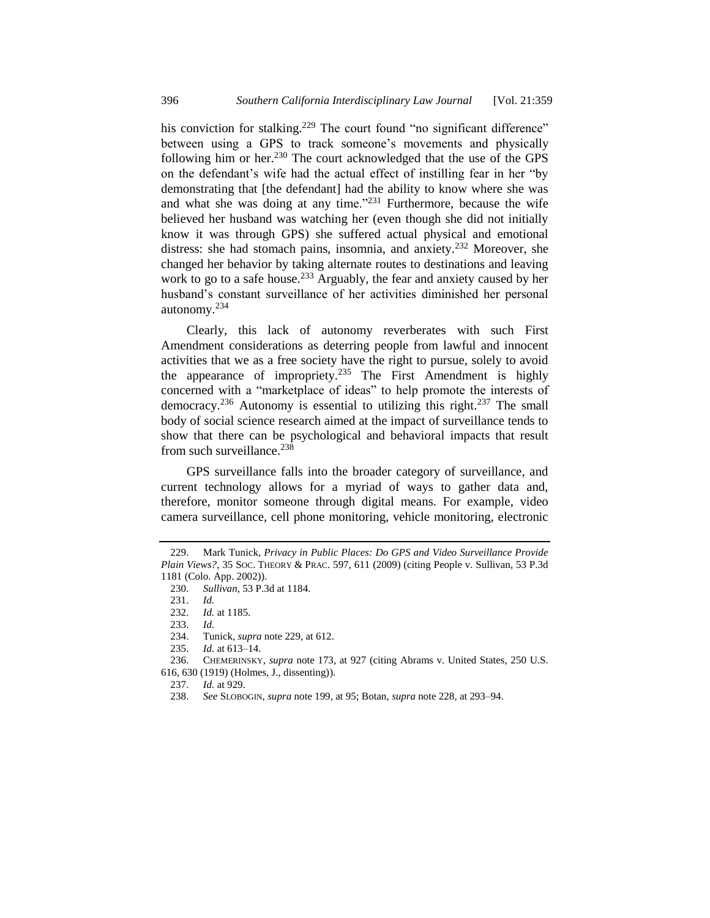<span id="page-37-0"></span>his conviction for stalking.<sup>229</sup> The court found "no significant difference" between using a GPS to track someone's movements and physically following him or her.<sup>230</sup> The court acknowledged that the use of the GPS on the defendant's wife had the actual effect of instilling fear in her "by demonstrating that [the defendant] had the ability to know where she was and what she was doing at any time." $231$  Furthermore, because the wife believed her husband was watching her (even though she did not initially know it was through GPS) she suffered actual physical and emotional distress: she had stomach pains, insomnia, and anxiety.<sup>232</sup> Moreover, she changed her behavior by taking alternate routes to destinations and leaving work to go to a safe house.<sup>233</sup> Arguably, the fear and anxiety caused by her husband's constant surveillance of her activities diminished her personal autonomy.<sup>234</sup>

Clearly, this lack of autonomy reverberates with such First Amendment considerations as deterring people from lawful and innocent activities that we as a free society have the right to pursue, solely to avoid the appearance of impropriety.<sup>235</sup> The First Amendment is highly concerned with a "marketplace of ideas" to help promote the interests of democracy.<sup>236</sup> Autonomy is essential to utilizing this right.<sup>237</sup> The small body of social science research aimed at the impact of surveillance tends to show that there can be psychological and behavioral impacts that result from such surveillance. $238$ 

GPS surveillance falls into the broader category of surveillance, and current technology allows for a myriad of ways to gather data and, therefore, monitor someone through digital means. For example, video camera surveillance, cell phone monitoring, vehicle monitoring, electronic

616, 630 (1919) (Holmes, J., dissenting)).

<sup>229.</sup> Mark Tunick, *Privacy in Public Places: Do GPS and Video Surveillance Provide Plain Views?*, 35 SOC. THEORY & PRAC. 597, 611 (2009) (citing People v. Sullivan, 53 P.3d 1181 (Colo. App. 2002)).

<sup>230.</sup> *Sullivan*, 53 P.3d at 1184.

<sup>231.</sup> *Id.*

<sup>232.</sup> *Id.* at 1185.

<sup>233.</sup> *Id.*

<sup>234.</sup> Tunick, *supra* not[e 229,](#page-37-0) at 612.

<sup>235.</sup> *Id.* at 613–14.

<sup>236.</sup> CHEMERINSKY, *supra* note [173,](#page-27-0) at 927 (citing Abrams v. United States, 250 U.S.

<sup>237.</sup> *Id.* at 929.

<sup>238.</sup> *See* SLOBOGIN, *supra* not[e 199,](#page-31-1) at 95; Botan, *supra* not[e 228,](#page-36-0) at 293–94.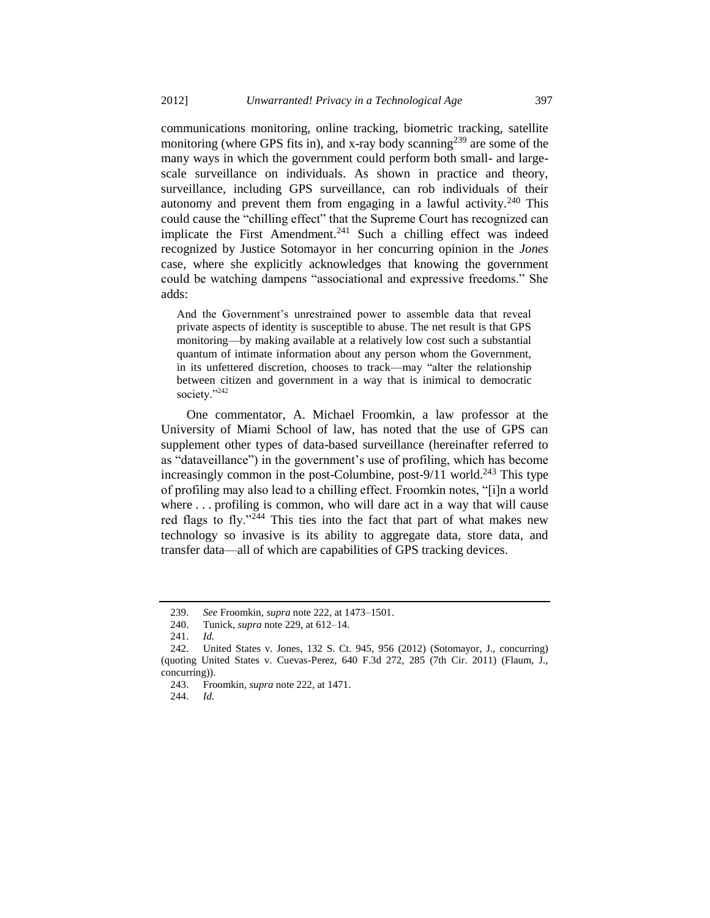communications monitoring, online tracking, biometric tracking, satellite monitoring (where GPS fits in), and x-ray body scanning<sup>239</sup> are some of the many ways in which the government could perform both small- and largescale surveillance on individuals. As shown in practice and theory, surveillance, including GPS surveillance, can rob individuals of their autonomy and prevent them from engaging in a lawful activity.<sup>240</sup> This could cause the "chilling effect" that the Supreme Court has recognized can implicate the First Amendment.<sup>241</sup> Such a chilling effect was indeed recognized by Justice Sotomayor in her concurring opinion in the *Jones* case, where she explicitly acknowledges that knowing the government could be watching dampens "associational and expressive freedoms." She adds:

And the Government's unrestrained power to assemble data that reveal private aspects of identity is susceptible to abuse. The net result is that GPS monitoring—by making available at a relatively low cost such a substantial quantum of intimate information about any person whom the Government, in its unfettered discretion, chooses to track—may "alter the relationship between citizen and government in a way that is inimical to democratic society."<sup>242</sup>

One commentator, A. Michael Froomkin, a law professor at the University of Miami School of law, has noted that the use of GPS can supplement other types of data-based surveillance (hereinafter referred to as "dataveillance") in the government's use of profiling, which has become increasingly common in the post-Columbine, post-9/11 world.<sup>243</sup> This type of profiling may also lead to a chilling effect. Froomkin notes, "[i]n a world where . . . profiling is common, who will dare act in a way that will cause red flags to fly."<sup>244</sup> This ties into the fact that part of what makes new technology so invasive is its ability to aggregate data, store data, and transfer data—all of which are capabilities of GPS tracking devices.

<sup>239.</sup> *See* Froomkin, *supra* not[e 222,](#page-35-1) at 1473–1501.

<sup>240.</sup> Tunick, *supra* not[e 229,](#page-37-0) at 612–14.

<sup>241.</sup> *Id.*

<sup>242.</sup> United States v. Jones, 132 S. Ct. 945, 956 (2012) (Sotomayor, J., concurring) (quoting United States v. Cuevas-Perez, 640 F.3d 272, 285 (7th Cir. 2011) (Flaum, J., concurring)).

<sup>243.</sup> Froomkin, *supra* not[e 222,](#page-35-1) at 1471.

<sup>244.</sup> *Id.*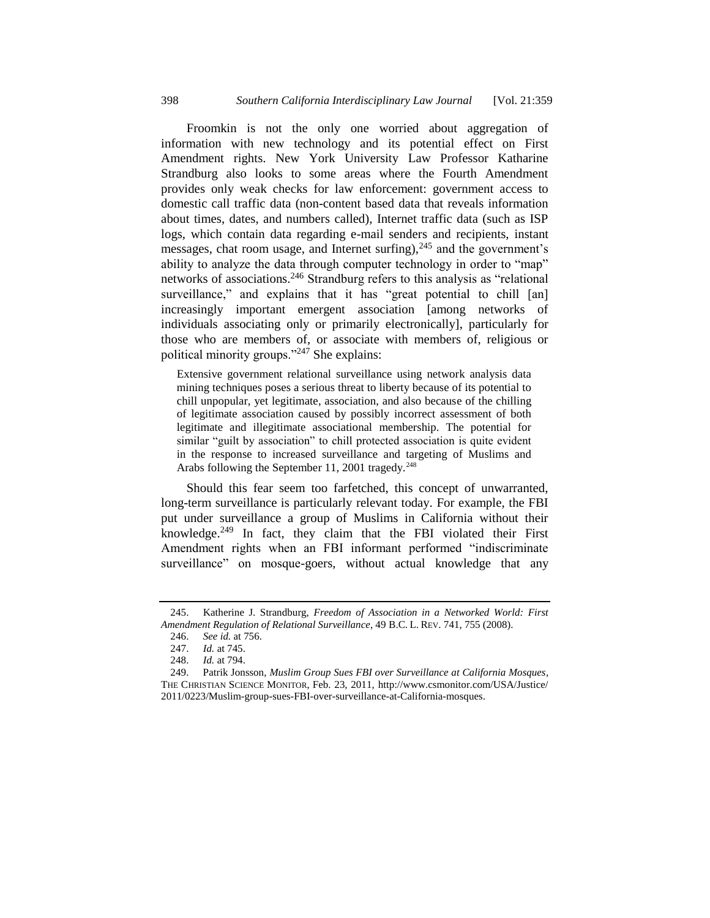Froomkin is not the only one worried about aggregation of information with new technology and its potential effect on First Amendment rights. New York University Law Professor Katharine Strandburg also looks to some areas where the Fourth Amendment provides only weak checks for law enforcement: government access to domestic call traffic data (non-content based data that reveals information about times, dates, and numbers called), Internet traffic data (such as ISP logs, which contain data regarding e-mail senders and recipients, instant messages, chat room usage, and Internet surfing), $245$  and the government's ability to analyze the data through computer technology in order to "map" networks of associations.<sup>246</sup> Strandburg refers to this analysis as "relational surveillance," and explains that it has "great potential to chill [an] increasingly important emergent association [among networks of individuals associating only or primarily electronically], particularly for those who are members of, or associate with members of, religious or political minority groups."<sup>247</sup> She explains:

<span id="page-39-0"></span>Extensive government relational surveillance using network analysis data mining techniques poses a serious threat to liberty because of its potential to chill unpopular, yet legitimate, association, and also because of the chilling of legitimate association caused by possibly incorrect assessment of both legitimate and illegitimate associational membership. The potential for similar "guilt by association" to chill protected association is quite evident in the response to increased surveillance and targeting of Muslims and Arabs following the September 11, 2001 tragedy. $248$ 

Should this fear seem too farfetched, this concept of unwarranted, long-term surveillance is particularly relevant today. For example, the FBI put under surveillance a group of Muslims in California without their knowledge. $249$  In fact, they claim that the FBI violated their First Amendment rights when an FBI informant performed "indiscriminate surveillance" on mosque-goers, without actual knowledge that any

<sup>245.</sup> Katherine J. Strandburg, *Freedom of Association in a Networked World: First Amendment Regulation of Relational Surveillance*, 49 B.C. L. REV. 741, 755 (2008).

<sup>246.</sup> *See id.* at 756.

<sup>247.</sup> *Id.* at 745.

<sup>248.</sup> *Id.* at 794.

<sup>249.</sup> Patrik Jonsson, *Muslim Group Sues FBI over Surveillance at California Mosques*, THE CHRISTIAN SCIENCE MONITOR, Feb. 23, 2011, http://www.csmonitor.com/USA/Justice/ 2011/0223/Muslim-group-sues-FBI-over-surveillance-at-California-mosques.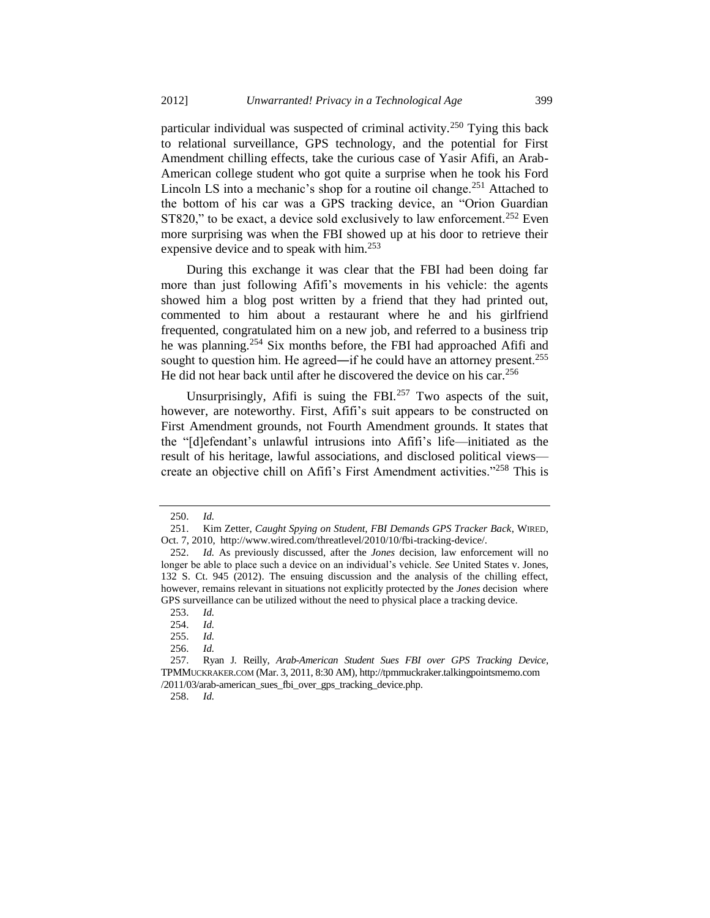particular individual was suspected of criminal activity.<sup>250</sup> Tying this back to relational surveillance, GPS technology, and the potential for First Amendment chilling effects, take the curious case of Yasir Afifi, an Arab-American college student who got quite a surprise when he took his Ford Lincoln LS into a mechanic's shop for a routine oil change.<sup>251</sup> Attached to the bottom of his car was a GPS tracking device, an "Orion Guardian ST820," to be exact, a device sold exclusively to law enforcement.<sup>252</sup> Even more surprising was when the FBI showed up at his door to retrieve their expensive device and to speak with him.<sup>253</sup>

During this exchange it was clear that the FBI had been doing far more than just following Afifi's movements in his vehicle: the agents showed him a blog post written by a friend that they had printed out, commented to him about a restaurant where he and his girlfriend frequented, congratulated him on a new job, and referred to a business trip he was planning.<sup>254</sup> Six months before, the FBI had approached Afifi and sought to question him. He agreed—if he could have an attorney present.<sup>255</sup> He did not hear back until after he discovered the device on his car.<sup>256</sup>

Unsurprisingly, Afifi is suing the FBI. $257$  Two aspects of the suit, however, are noteworthy. First, Afifi's suit appears to be constructed on First Amendment grounds, not Fourth Amendment grounds. It states that the "[d]efendant's unlawful intrusions into Afifi's life—initiated as the result of his heritage, lawful associations, and disclosed political views create an objective chill on Afifi's First Amendment activities."<sup>258</sup> This is

<sup>250.</sup> *Id.*

<sup>251.</sup> Kim Zetter, *Caught Spying on Student, FBI Demands GPS Tracker Back*, WIRED, Oct. 7, 2010, http://www.wired.com/threatlevel/2010/10/fbi-tracking-device/.

<sup>252.</sup> *Id.* As previously discussed, after the *Jones* decision, law enforcement will no longer be able to place such a device on an individual's vehicle. *See* United States v. Jones, 132 S. Ct. 945 (2012). The ensuing discussion and the analysis of the chilling effect, however, remains relevant in situations not explicitly protected by the *Jones* decision where GPS surveillance can be utilized without the need to physical place a tracking device.

<sup>253.</sup> *Id.*

<sup>254.</sup> *Id.*

<sup>255.</sup> *Id.*

<sup>256.</sup> *Id.*

<sup>257.</sup> Ryan J. Reilly, *Arab-American Student Sues FBI over GPS Tracking Device*, TPMMUCKRAKER.COM (Mar. 3, 2011, 8:30 AM), http://tpmmuckraker.talkingpointsmemo.com /2011/03/arab-american\_sues\_fbi\_over\_gps\_tracking\_device.php.

<sup>258.</sup> *Id.*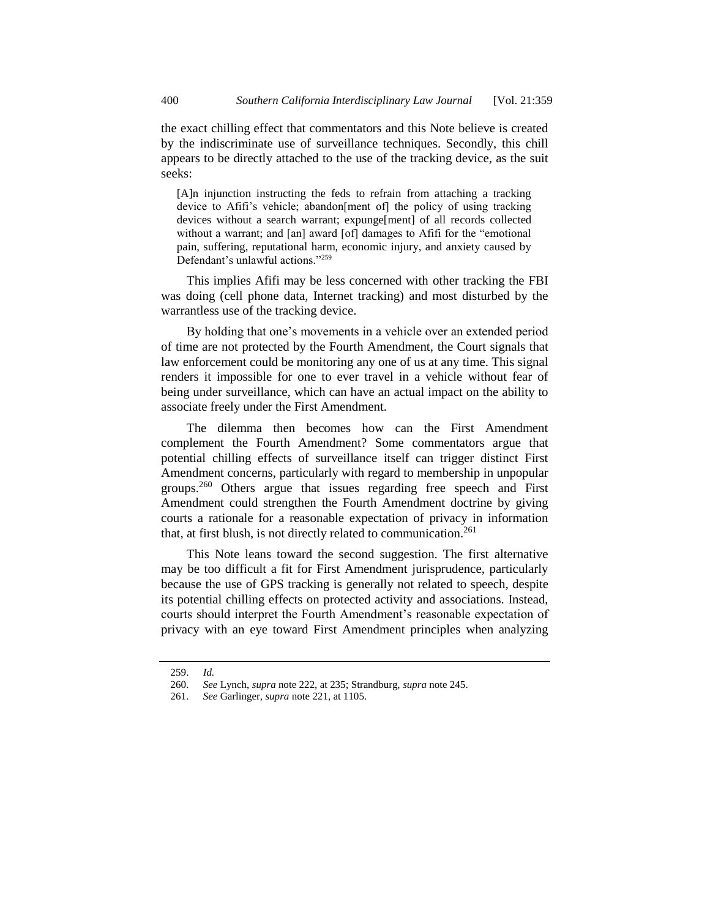the exact chilling effect that commentators and this Note believe is created by the indiscriminate use of surveillance techniques. Secondly, this chill appears to be directly attached to the use of the tracking device, as the suit seeks:

[A]n injunction instructing the feds to refrain from attaching a tracking device to Afifi's vehicle; abandon[ment of] the policy of using tracking devices without a search warrant; expunge[ment] of all records collected without a warrant; and [an] award [of] damages to Afifi for the "emotional pain, suffering, reputational harm, economic injury, and anxiety caused by Defendant's unlawful actions."<sup>259</sup>

This implies Afifi may be less concerned with other tracking the FBI was doing (cell phone data, Internet tracking) and most disturbed by the warrantless use of the tracking device.

By holding that one's movements in a vehicle over an extended period of time are not protected by the Fourth Amendment, the Court signals that law enforcement could be monitoring any one of us at any time. This signal renders it impossible for one to ever travel in a vehicle without fear of being under surveillance, which can have an actual impact on the ability to associate freely under the First Amendment.

The dilemma then becomes how can the First Amendment complement the Fourth Amendment? Some commentators argue that potential chilling effects of surveillance itself can trigger distinct First Amendment concerns, particularly with regard to membership in unpopular groups.<sup>260</sup> Others argue that issues regarding free speech and First Amendment could strengthen the Fourth Amendment doctrine by giving courts a rationale for a reasonable expectation of privacy in information that, at first blush, is not directly related to communication.<sup>261</sup>

This Note leans toward the second suggestion. The first alternative may be too difficult a fit for First Amendment jurisprudence, particularly because the use of GPS tracking is generally not related to speech, despite its potential chilling effects on protected activity and associations. Instead, courts should interpret the Fourth Amendment's reasonable expectation of privacy with an eye toward First Amendment principles when analyzing

<sup>259.</sup> *Id.*

<sup>260.</sup> *See* Lynch, *supra* note [222,](#page-35-1) at 235; Strandburg, *supra* note [245.](#page-39-0)

<sup>261.</sup> *See* Garlinger, *supra* not[e 221,](#page-35-2) at 1105.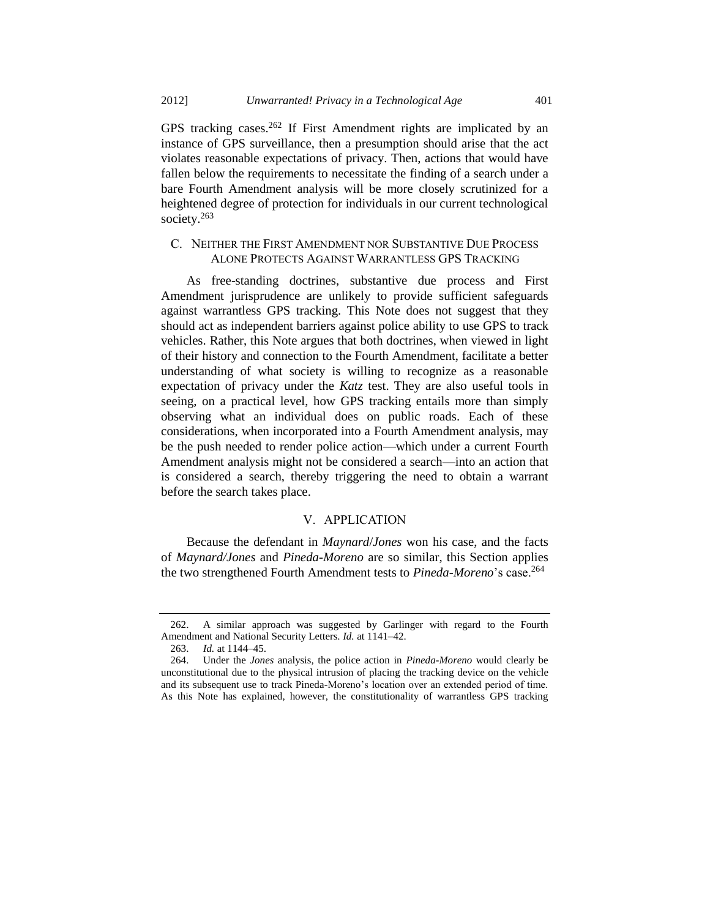GPS tracking cases.<sup>262</sup> If First Amendment rights are implicated by an instance of GPS surveillance, then a presumption should arise that the act violates reasonable expectations of privacy. Then, actions that would have fallen below the requirements to necessitate the finding of a search under a bare Fourth Amendment analysis will be more closely scrutinized for a heightened degree of protection for individuals in our current technological society.<sup>263</sup>

# C. NEITHER THE FIRST AMENDMENT NOR SUBSTANTIVE DUE PROCESS ALONE PROTECTS AGAINST WARRANTLESS GPS TRACKING

As free-standing doctrines, substantive due process and First Amendment jurisprudence are unlikely to provide sufficient safeguards against warrantless GPS tracking. This Note does not suggest that they should act as independent barriers against police ability to use GPS to track vehicles. Rather, this Note argues that both doctrines, when viewed in light of their history and connection to the Fourth Amendment, facilitate a better understanding of what society is willing to recognize as a reasonable expectation of privacy under the *Katz* test. They are also useful tools in seeing, on a practical level, how GPS tracking entails more than simply observing what an individual does on public roads. Each of these considerations, when incorporated into a Fourth Amendment analysis, may be the push needed to render police action—which under a current Fourth Amendment analysis might not be considered a search—into an action that is considered a search, thereby triggering the need to obtain a warrant before the search takes place.

#### V. APPLICATION

Because the defendant in *Maynard*/*Jones* won his case, and the facts of *Maynard/Jones* and *Pineda-Moreno* are so similar, this Section applies the two strengthened Fourth Amendment tests to *Pineda-Moreno*'s case.<sup>264</sup>

<sup>262.</sup> A similar approach was suggested by Garlinger with regard to the Fourth Amendment and National Security Letters. *Id.* at 1141–42.

<sup>263.</sup> *Id.* at 1144–45.

<sup>264.</sup> Under the *Jones* analysis, the police action in *Pineda-Moreno* would clearly be unconstitutional due to the physical intrusion of placing the tracking device on the vehicle and its subsequent use to track Pineda-Moreno's location over an extended period of time. As this Note has explained, however, the constitutionality of warrantless GPS tracking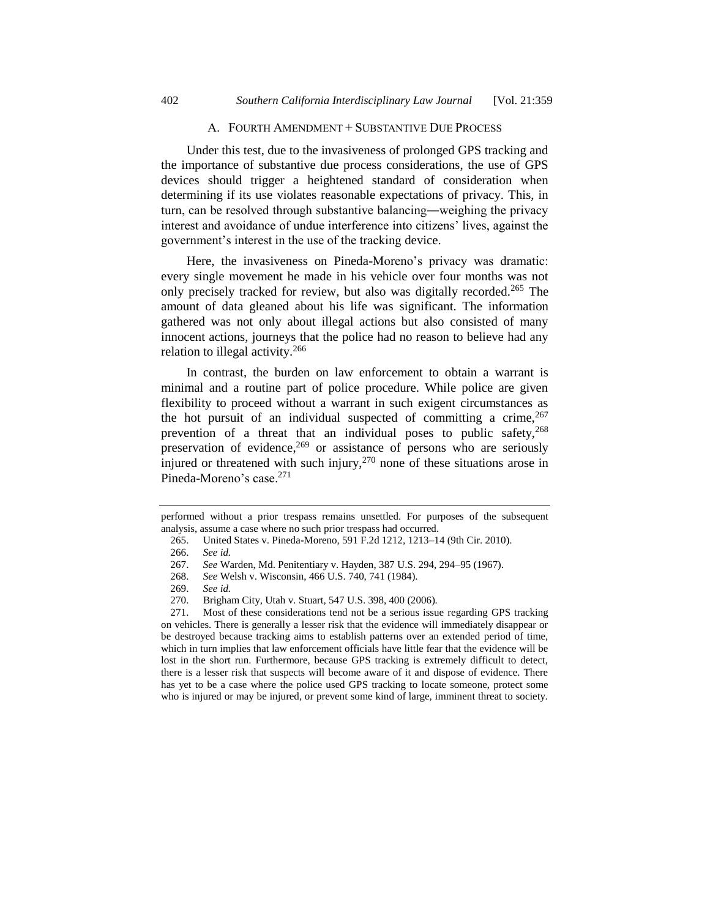#### A. FOURTH AMENDMENT + SUBSTANTIVE DUE PROCESS

Under this test, due to the invasiveness of prolonged GPS tracking and the importance of substantive due process considerations, the use of GPS devices should trigger a heightened standard of consideration when determining if its use violates reasonable expectations of privacy. This, in turn, can be resolved through substantive balancing―weighing the privacy interest and avoidance of undue interference into citizens' lives, against the government's interest in the use of the tracking device.

Here, the invasiveness on Pineda-Moreno's privacy was dramatic: every single movement he made in his vehicle over four months was not only precisely tracked for review, but also was digitally recorded.<sup>265</sup> The amount of data gleaned about his life was significant. The information gathered was not only about illegal actions but also consisted of many innocent actions, journeys that the police had no reason to believe had any relation to illegal activity.<sup>266</sup>

In contrast, the burden on law enforcement to obtain a warrant is minimal and a routine part of police procedure. While police are given flexibility to proceed without a warrant in such exigent circumstances as the hot pursuit of an individual suspected of committing a crime,  $267$ prevention of a threat that an individual poses to public safety,  $268$ preservation of evidence, $269$  or assistance of persons who are seriously injured or threatened with such injury,  $270$  none of these situations arose in Pineda-Moreno's case.<sup>271</sup>

performed without a prior trespass remains unsettled. For purposes of the subsequent analysis, assume a case where no such prior trespass had occurred.

<sup>265.</sup> United States v. Pineda-Moreno, 591 F.2d 1212, 1213–14 (9th Cir. 2010).

<sup>266.</sup> *See id.*

<sup>267.</sup> *See* Warden, Md. Penitentiary v. Hayden, 387 U.S. 294, 294–95 (1967).

<sup>268.</sup> *See* Welsh v. Wisconsin, 466 U.S. 740, 741 (1984).

<sup>269.</sup> *See id.*

<sup>270.</sup> Brigham City, Utah v. Stuart, 547 U.S. 398, 400 (2006).

<sup>271.</sup> Most of these considerations tend not be a serious issue regarding GPS tracking on vehicles. There is generally a lesser risk that the evidence will immediately disappear or be destroyed because tracking aims to establish patterns over an extended period of time, which in turn implies that law enforcement officials have little fear that the evidence will be lost in the short run. Furthermore, because GPS tracking is extremely difficult to detect, there is a lesser risk that suspects will become aware of it and dispose of evidence. There has yet to be a case where the police used GPS tracking to locate someone, protect some who is injured or may be injured, or prevent some kind of large, imminent threat to society.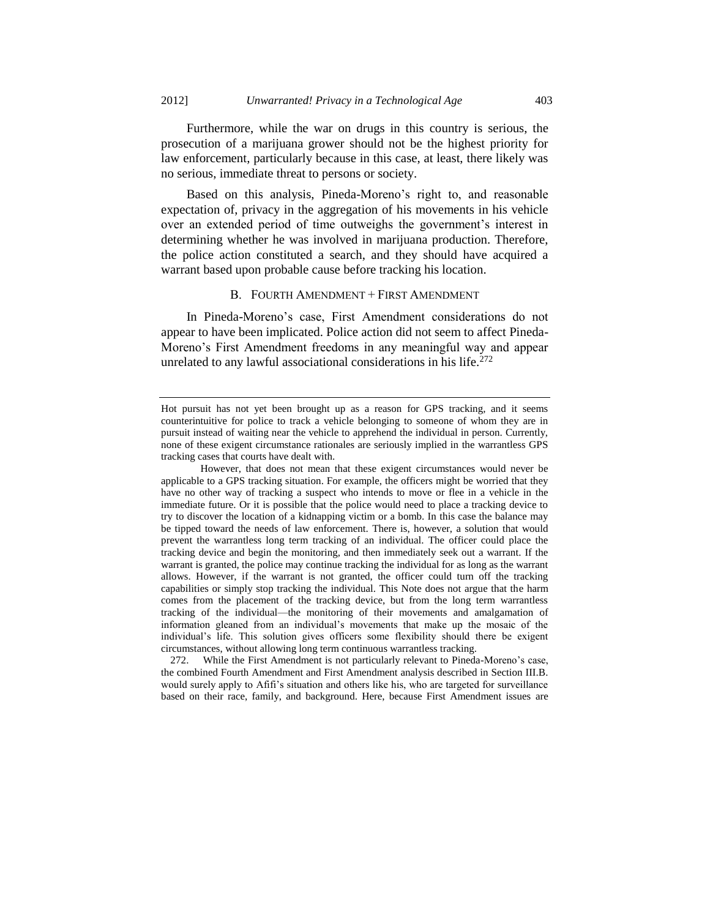Furthermore, while the war on drugs in this country is serious, the prosecution of a marijuana grower should not be the highest priority for law enforcement, particularly because in this case, at least, there likely was no serious, immediate threat to persons or society.

Based on this analysis, Pineda-Moreno's right to, and reasonable expectation of, privacy in the aggregation of his movements in his vehicle over an extended period of time outweighs the government's interest in determining whether he was involved in marijuana production. Therefore, the police action constituted a search, and they should have acquired a warrant based upon probable cause before tracking his location.

#### B. FOURTH AMENDMENT + FIRST AMENDMENT

In Pineda-Moreno's case, First Amendment considerations do not appear to have been implicated. Police action did not seem to affect Pineda-Moreno's First Amendment freedoms in any meaningful way and appear unrelated to any lawful associational considerations in his life.<sup>272</sup>

272. While the First Amendment is not particularly relevant to Pineda-Moreno's case, the combined Fourth Amendment and First Amendment analysis described in Section III.B. would surely apply to Afifi's situation and others like his, who are targeted for surveillance based on their race, family, and background. Here, because First Amendment issues are

Hot pursuit has not yet been brought up as a reason for GPS tracking, and it seems counterintuitive for police to track a vehicle belonging to someone of whom they are in pursuit instead of waiting near the vehicle to apprehend the individual in person. Currently, none of these exigent circumstance rationales are seriously implied in the warrantless GPS tracking cases that courts have dealt with.

However, that does not mean that these exigent circumstances would never be applicable to a GPS tracking situation. For example, the officers might be worried that they have no other way of tracking a suspect who intends to move or flee in a vehicle in the immediate future. Or it is possible that the police would need to place a tracking device to try to discover the location of a kidnapping victim or a bomb. In this case the balance may be tipped toward the needs of law enforcement. There is, however, a solution that would prevent the warrantless long term tracking of an individual. The officer could place the tracking device and begin the monitoring, and then immediately seek out a warrant. If the warrant is granted, the police may continue tracking the individual for as long as the warrant allows. However, if the warrant is not granted, the officer could turn off the tracking capabilities or simply stop tracking the individual. This Note does not argue that the harm comes from the placement of the tracking device, but from the long term warrantless tracking of the individual—the monitoring of their movements and amalgamation of information gleaned from an individual's movements that make up the mosaic of the individual's life. This solution gives officers some flexibility should there be exigent circumstances, without allowing long term continuous warrantless tracking.